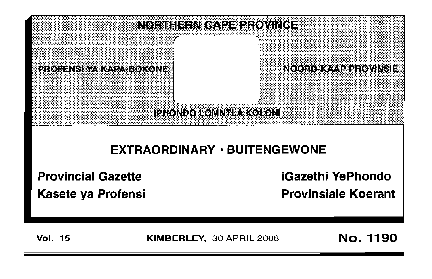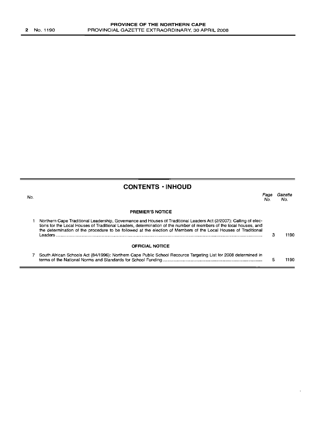| <b>CONTENTS · INHOUD</b> |  |
|--------------------------|--|
|--------------------------|--|

| No. |                                                                                                                                                                                                                                                                                                                                                                        | Page<br>No. | Gazette<br>No. |
|-----|------------------------------------------------------------------------------------------------------------------------------------------------------------------------------------------------------------------------------------------------------------------------------------------------------------------------------------------------------------------------|-------------|----------------|
|     | <b>PREMIER'S NOTICE</b>                                                                                                                                                                                                                                                                                                                                                |             |                |
|     | Northern Cape Traditional Leadership, Governance and Houses of Traditional Leaders Act (2/2007); Calling of elec-<br>tions for the Local Houses of Traditional Leaders, determination of the number of members of the local houses, and<br>the determination of the procedure to be followed at the election of Members of the Local Houses of Traditional<br>Leaders. |             | 1190           |
|     | <b>OFFICIAL NOTICE</b>                                                                                                                                                                                                                                                                                                                                                 |             |                |
|     | South African Schools Act (84/1996): Northern Cape Public School Recource Targeting List for 2008 determined in                                                                                                                                                                                                                                                        |             | 1190           |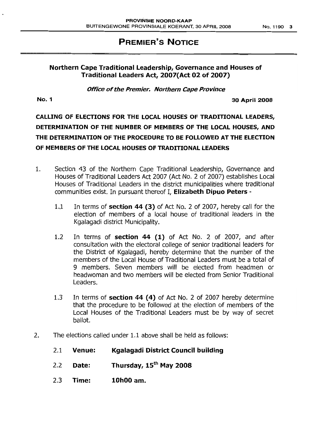## **PREMIER'S NOTICE**

## **Northern Cape Traditional Leadership, Governance and Houses of Traditional Leaders Act, 2007(Act 02 of 2007)**

**Office** *0'***the Premier. Northern Cape Province**

**No.1 30 April 2008**

# **CALLING OF ELECTIONS FOR THE LOCAL HOUSES OF TRADITIONAL LEADERS, DETERMINATION OF THE NUMBER OF MEMBERS OF THE LOCAL HOUSES, AND THE DETERMINATION OF THE PROCEDURE TO BE FOLLOWED AT THE ELECTION OF MEMBERS OF THE LOCAL HOUSES OF TRADITIONAL LEADERS**

- 1. Section 43 of the Northern Cape Traditional Leadership, Governance and Houses of Traditional Leaders Act 2007 (Act No. 2 of 2007) establishes Local Houses of Traditional Leaders in the district municipalities where traditional communities exist. In pursuant thereof I, **Elizabeth Dipuo Peters -**
	- 1.1 In terms of **section 44 (3)** of Act No.2 of 2007, hereby call for the election of members of a local house of traditional leaders in the Kgalagadi district Municipality.
	- 1.2 In terms of **section 44 (I)** of Act No. 2 of 2007, and after consultation with the electoral college of senior traditional leaders for the District of Kgalagadi, hereby determine that the number of the members of the Local House of Traditional Leaders must be a total of 9 members. Seven members will be elected from headmen or headwoman and two members will be elected from Senior Traditional Leaders.
	- 1.3 In terms of **section 44 (4)** of Act No. 2 of 2007 hereby determine that the procedure to be followed at the election of members of the Local Houses of the Traditional Leaders must be by way of secret ballot.
- 2. The elections called under 1.1 above shall be held as follows:
	- 2.1 **Venue: Kgalagadi District Council building**
	- 2.2 **Date: Thursday, 15th May 2008**
	- 2.3 **Time: 10hOO am.**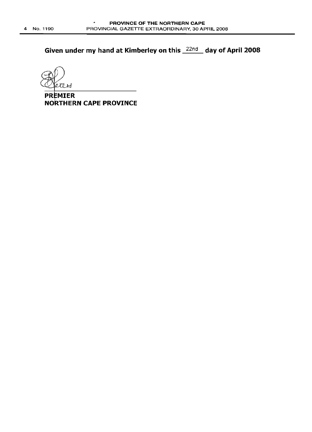**Given under my hand at Kimberley on this** 22nd **day of April 2008**

étéri

**PREMIER NORTHERN CAPE PROVINCE**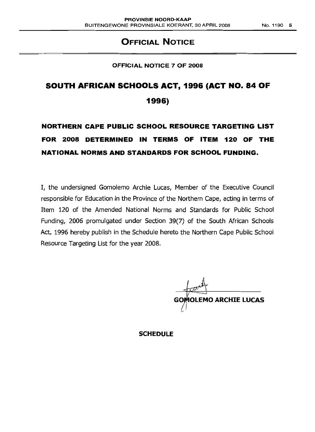## **OFFICIAL NOTICE**

### **OFFICIAL NOTICE 7 OF 2008**

# **SOUTH AFRICAN SCHOOLS ACT, 1996 (ACT NO. 84 OF 1996)**

# **NORTHERN CAPE PUBLIC SCHOOL RESOURCE TARGETING LIST FOR 2008 DETERMINED IN TERMS OF ITEM 120 OF THE NATIONAL NORMS AND STANDARDS FOR SCHOOL FUNDING.**

I, the undersigned Gomolemo Archie Lucas, Member of the Executive Council responsible for Education in the Province of the Northern Cape, acting in terms of Item 120 of the Amended National Norms and Standards for Public School Funding, 2006 promulgated under Section 39(7) of the South African Schools Act, 1996 hereby publish in the Schedule hereto the Northern Cape Public School Resource Targeting List for the year 2008.

**GOMOLEMO ARCHIE LUCAS** 

**SCHEDULE**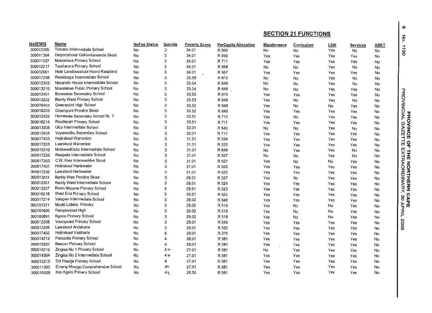| NatEMIS<br>Name<br><b>NoFee Status</b><br>Quintile<br><b>Poverty Score</b><br><b>PerCapita Allocation</b><br><b>Maintenance</b><br>Curriculum<br><b>LSM</b><br><b>Services</b><br>Tirisano Intermediate School<br>300012305<br>3<br>No<br>34.01<br>R 560<br>No<br>No<br>Yes<br>No<br>No<br>Delportshoop Gekombineerde Skool<br>300011304<br>3<br>No<br>34.01<br>R 559<br>Yes<br>Yes<br>Yes<br>Yes<br>No<br>Montshiwa Primary School<br>300011207<br>No<br>3<br>34.01<br>R 711<br>Yes<br>Yes<br>Yes<br>Yes<br>No<br>Taudiarora Primary School<br>300012217<br>No<br>3<br>34.01<br>R 558<br>No<br>No<br>Yes<br>No<br>No<br>300012601<br>Hoër Landbouskool Noord-Kaapland<br>3<br>No<br>34.01<br>R 557<br>Yes<br>Yes<br>Yes<br>Yes<br>No<br>300017208<br>Realeboga Intermediate School<br>3<br>No<br>33.59<br>R 610<br>No<br>No<br>Yes<br>No<br>No<br>Nazareth House Intermediate School<br>300012303<br>3<br>No<br>33.54<br>R 648<br>No<br>No<br>Yes<br>No<br>No<br>300013210<br>Mosalakae Public Primary School<br>3<br>No<br>33.54<br>R 648<br>No<br>No<br>Yes<br>Yes<br>No<br>Boresetse Secondary School<br>300013401<br>3<br>No<br>33.53<br>R 610<br>Yes<br>Yes<br>Yes<br>Yes<br>No<br><b>Barkly West Primary School</b><br>300013202<br>3<br>No<br>33.53<br>R 648<br>Yes<br>No<br>Yes<br>No<br>No<br>Greenpoint High School<br>300016403<br>No<br>3<br>33.52<br>R 648<br>Yes<br>No<br>No<br>Yes<br>No<br>Groenpunt Primêre Skool<br>300016203<br>3<br>No<br>33.52<br>R 648<br>Yes<br>Yes<br>Yes<br>Yes<br>No<br>Homevale Secondary School Nr. 1<br>300012402<br>3<br>No<br>33.51<br>R 711<br>Yes<br>No<br>Yes<br>Yes<br>No<br>Roodepan Primary School<br>300016214<br>No<br>3<br>33.51<br>R 711<br>Yes<br>Yes<br>Yes<br>Yes<br>No<br>300013305<br>Ulco Intermediate School<br>3<br>No<br>32.01<br>R 540<br>No<br>No<br>Yes<br>No<br>No<br>Vuyolwethu Secondary School<br>300012404<br>No<br>3<br>32.01<br>R 711<br>Yes<br>Yes<br>Yes<br>Yes<br>No<br>Hoërskool Warrenton<br>300017403<br>3<br>No<br>31.51<br>R 534<br>Yes<br>Yes<br>Yes<br>Yes<br>No<br>300017203<br>Laerskool Warrenton<br>3<br>No<br>31.51<br>R 533<br>Yes<br>Yes<br>Yes<br>Yes<br>No<br>300012210<br>Motswedithuto Intermediate School<br>3<br>No<br>31.01<br>R 648<br>No<br>Yes<br>Yes<br>No<br>No<br>Reaipela Intermediate School<br>300017220<br>No<br>3<br>31.01<br>R 527<br>No<br>No<br>Yes<br>No<br>No<br>300017303<br>C.W. Kies Intermediêre Skool<br>3<br>No<br>31.01<br>R 527<br>Yes<br>No<br>No<br>Yes<br>No<br>Hoërskool Hartswater<br>300017401<br>3<br>No<br>31.01<br>R 526<br>Yes<br>Yes<br>Yes<br>Yes<br>No<br>300017202<br>Laerskool Hartswater<br>No<br>3<br>31.01<br>R 525<br>Yes<br>Yes<br>Yes<br>Yes<br>No<br>300013201<br>Barkly Wes Primêre Skool<br>No<br>3<br>29.51<br>R 527<br>Yes<br>No<br>Yes<br>Yes<br>No<br>300012301<br>Barkly West Intermediate School<br>No<br>3<br>29.51<br>R 524<br>Yes<br>Yes<br>Yes<br>Yes<br>No<br>300012207<br>Kevin Nkoane Primary School<br>3<br>No<br>29.51<br>R 523<br>Yes<br>Yes<br>Yes<br>Yes<br>No<br>West End Primary School<br>300016218<br>3<br>No<br>29.51<br>R 520<br>Yes<br>Yes<br>Yes<br>Yes<br>No<br>300017214<br>Valspan Intermediate School<br>No<br>3<br>29.02<br>R 648<br>Yes<br>Yes<br>Yes<br>Yes<br>No<br>300101371<br>Mooki Lobelo Primary<br>No<br>3<br>29.02<br>R 519<br>Yes<br>No<br>No<br>Yes<br>No<br>300101600<br>Pampierstad High<br>3<br>No<br>29.02<br>R 519<br>Yes<br>No<br>No<br>Yes<br>No<br>300100691<br>Kgono Primary School<br>No<br>3<br>29.02<br>R 518<br>Yes<br>No<br>No<br>Yes<br>No<br>300012208<br>Voorspoed Primary School<br>3<br>No<br>29.01<br>R 549<br>Yes<br>Yes<br>Yes<br>Yes<br>No<br>Laerskool Andalusia<br>300012206<br>3<br>No<br>29.01<br>R 520<br>Yes<br>Yes<br>Yes<br>Yes<br>No<br>Hoërskool Vaalharts<br>300017402<br>No<br>29.01<br>R 376<br>4<br>Yes<br>Yes<br>Yes<br>Yes<br>No<br>Pescodia Primary School<br>300014212<br>No<br>4<br>28.01<br>R 581<br>Yes<br>Yes<br>Yes<br>Yes<br>No<br>Beacon Primary School<br>300015201<br>No<br>28.01<br>4<br>R 581<br>Yes<br>Yes<br>Yes<br>Yes<br>No<br>Zingisa No 1 Primary School<br>300016219<br>No<br>4 <sub>7</sub><br>27.01<br>R 581<br>No<br>Yes<br>Yes<br>Yes<br>No<br>Zingisa No 2 Intermediate School<br>300014304<br>No<br>4 %<br>27.01<br>R 581<br>Yes<br>Yes<br>Yes<br>Yes<br>No<br>Sol Plaatje Primary School<br>300012215<br>27.01<br>R 581<br>No<br>4<br>Yes<br>Yes<br>Yes<br>Yes<br>No<br>Emang Mmogo Comprehensive School<br>300011303<br>No<br>47<br>27.01<br>R 581<br>Yes<br>Yes<br>Yes<br>Yes<br>No |           |                          |    |    |       |       | <b>SECTION 21 FUNCTIONS</b> |     |     |     |             |
|---------------------------------------------------------------------------------------------------------------------------------------------------------------------------------------------------------------------------------------------------------------------------------------------------------------------------------------------------------------------------------------------------------------------------------------------------------------------------------------------------------------------------------------------------------------------------------------------------------------------------------------------------------------------------------------------------------------------------------------------------------------------------------------------------------------------------------------------------------------------------------------------------------------------------------------------------------------------------------------------------------------------------------------------------------------------------------------------------------------------------------------------------------------------------------------------------------------------------------------------------------------------------------------------------------------------------------------------------------------------------------------------------------------------------------------------------------------------------------------------------------------------------------------------------------------------------------------------------------------------------------------------------------------------------------------------------------------------------------------------------------------------------------------------------------------------------------------------------------------------------------------------------------------------------------------------------------------------------------------------------------------------------------------------------------------------------------------------------------------------------------------------------------------------------------------------------------------------------------------------------------------------------------------------------------------------------------------------------------------------------------------------------------------------------------------------------------------------------------------------------------------------------------------------------------------------------------------------------------------------------------------------------------------------------------------------------------------------------------------------------------------------------------------------------------------------------------------------------------------------------------------------------------------------------------------------------------------------------------------------------------------------------------------------------------------------------------------------------------------------------------------------------------------------------------------------------------------------------------------------------------------------------------------------------------------------------------------------------------------------------------------------------------------------------------------------------------------------------------------------------------------------------------------------------------------------------------------------------------------------------------------------------------------------------------------------------------------------------------------------------------------------------------------------------------------------------------------------------------------------------------------------------------------------------------------------------------------------------------------------------------------------------------------------------------------------------------------------------------------------------------------------------------------------------------------------------------------------------------------------------------------------------------------------------------------------------------------------------------------------------------------------------------------------------------------------------------------------------------------------------------------------------------------------------------|-----------|--------------------------|----|----|-------|-------|-----------------------------|-----|-----|-----|-------------|
|                                                                                                                                                                                                                                                                                                                                                                                                                                                                                                                                                                                                                                                                                                                                                                                                                                                                                                                                                                                                                                                                                                                                                                                                                                                                                                                                                                                                                                                                                                                                                                                                                                                                                                                                                                                                                                                                                                                                                                                                                                                                                                                                                                                                                                                                                                                                                                                                                                                                                                                                                                                                                                                                                                                                                                                                                                                                                                                                                                                                                                                                                                                                                                                                                                                                                                                                                                                                                                                                                                                                                                                                                                                                                                                                                                                                                                                                                                                                                                                                                                                                                                                                                                                                                                                                                                                                                                                                                                                                                                                                                         |           |                          |    |    |       |       |                             |     |     |     | <b>ABET</b> |
|                                                                                                                                                                                                                                                                                                                                                                                                                                                                                                                                                                                                                                                                                                                                                                                                                                                                                                                                                                                                                                                                                                                                                                                                                                                                                                                                                                                                                                                                                                                                                                                                                                                                                                                                                                                                                                                                                                                                                                                                                                                                                                                                                                                                                                                                                                                                                                                                                                                                                                                                                                                                                                                                                                                                                                                                                                                                                                                                                                                                                                                                                                                                                                                                                                                                                                                                                                                                                                                                                                                                                                                                                                                                                                                                                                                                                                                                                                                                                                                                                                                                                                                                                                                                                                                                                                                                                                                                                                                                                                                                                         |           |                          |    |    |       |       |                             |     |     |     |             |
|                                                                                                                                                                                                                                                                                                                                                                                                                                                                                                                                                                                                                                                                                                                                                                                                                                                                                                                                                                                                                                                                                                                                                                                                                                                                                                                                                                                                                                                                                                                                                                                                                                                                                                                                                                                                                                                                                                                                                                                                                                                                                                                                                                                                                                                                                                                                                                                                                                                                                                                                                                                                                                                                                                                                                                                                                                                                                                                                                                                                                                                                                                                                                                                                                                                                                                                                                                                                                                                                                                                                                                                                                                                                                                                                                                                                                                                                                                                                                                                                                                                                                                                                                                                                                                                                                                                                                                                                                                                                                                                                                         |           |                          |    |    |       |       |                             |     |     |     |             |
|                                                                                                                                                                                                                                                                                                                                                                                                                                                                                                                                                                                                                                                                                                                                                                                                                                                                                                                                                                                                                                                                                                                                                                                                                                                                                                                                                                                                                                                                                                                                                                                                                                                                                                                                                                                                                                                                                                                                                                                                                                                                                                                                                                                                                                                                                                                                                                                                                                                                                                                                                                                                                                                                                                                                                                                                                                                                                                                                                                                                                                                                                                                                                                                                                                                                                                                                                                                                                                                                                                                                                                                                                                                                                                                                                                                                                                                                                                                                                                                                                                                                                                                                                                                                                                                                                                                                                                                                                                                                                                                                                         |           |                          |    |    |       |       |                             |     |     |     |             |
|                                                                                                                                                                                                                                                                                                                                                                                                                                                                                                                                                                                                                                                                                                                                                                                                                                                                                                                                                                                                                                                                                                                                                                                                                                                                                                                                                                                                                                                                                                                                                                                                                                                                                                                                                                                                                                                                                                                                                                                                                                                                                                                                                                                                                                                                                                                                                                                                                                                                                                                                                                                                                                                                                                                                                                                                                                                                                                                                                                                                                                                                                                                                                                                                                                                                                                                                                                                                                                                                                                                                                                                                                                                                                                                                                                                                                                                                                                                                                                                                                                                                                                                                                                                                                                                                                                                                                                                                                                                                                                                                                         |           |                          |    |    |       |       |                             |     |     |     |             |
|                                                                                                                                                                                                                                                                                                                                                                                                                                                                                                                                                                                                                                                                                                                                                                                                                                                                                                                                                                                                                                                                                                                                                                                                                                                                                                                                                                                                                                                                                                                                                                                                                                                                                                                                                                                                                                                                                                                                                                                                                                                                                                                                                                                                                                                                                                                                                                                                                                                                                                                                                                                                                                                                                                                                                                                                                                                                                                                                                                                                                                                                                                                                                                                                                                                                                                                                                                                                                                                                                                                                                                                                                                                                                                                                                                                                                                                                                                                                                                                                                                                                                                                                                                                                                                                                                                                                                                                                                                                                                                                                                         |           |                          |    |    |       |       |                             |     |     |     |             |
|                                                                                                                                                                                                                                                                                                                                                                                                                                                                                                                                                                                                                                                                                                                                                                                                                                                                                                                                                                                                                                                                                                                                                                                                                                                                                                                                                                                                                                                                                                                                                                                                                                                                                                                                                                                                                                                                                                                                                                                                                                                                                                                                                                                                                                                                                                                                                                                                                                                                                                                                                                                                                                                                                                                                                                                                                                                                                                                                                                                                                                                                                                                                                                                                                                                                                                                                                                                                                                                                                                                                                                                                                                                                                                                                                                                                                                                                                                                                                                                                                                                                                                                                                                                                                                                                                                                                                                                                                                                                                                                                                         |           |                          |    |    |       |       |                             |     |     |     |             |
|                                                                                                                                                                                                                                                                                                                                                                                                                                                                                                                                                                                                                                                                                                                                                                                                                                                                                                                                                                                                                                                                                                                                                                                                                                                                                                                                                                                                                                                                                                                                                                                                                                                                                                                                                                                                                                                                                                                                                                                                                                                                                                                                                                                                                                                                                                                                                                                                                                                                                                                                                                                                                                                                                                                                                                                                                                                                                                                                                                                                                                                                                                                                                                                                                                                                                                                                                                                                                                                                                                                                                                                                                                                                                                                                                                                                                                                                                                                                                                                                                                                                                                                                                                                                                                                                                                                                                                                                                                                                                                                                                         |           |                          |    |    |       |       |                             |     |     |     |             |
|                                                                                                                                                                                                                                                                                                                                                                                                                                                                                                                                                                                                                                                                                                                                                                                                                                                                                                                                                                                                                                                                                                                                                                                                                                                                                                                                                                                                                                                                                                                                                                                                                                                                                                                                                                                                                                                                                                                                                                                                                                                                                                                                                                                                                                                                                                                                                                                                                                                                                                                                                                                                                                                                                                                                                                                                                                                                                                                                                                                                                                                                                                                                                                                                                                                                                                                                                                                                                                                                                                                                                                                                                                                                                                                                                                                                                                                                                                                                                                                                                                                                                                                                                                                                                                                                                                                                                                                                                                                                                                                                                         |           |                          |    |    |       |       |                             |     |     |     |             |
|                                                                                                                                                                                                                                                                                                                                                                                                                                                                                                                                                                                                                                                                                                                                                                                                                                                                                                                                                                                                                                                                                                                                                                                                                                                                                                                                                                                                                                                                                                                                                                                                                                                                                                                                                                                                                                                                                                                                                                                                                                                                                                                                                                                                                                                                                                                                                                                                                                                                                                                                                                                                                                                                                                                                                                                                                                                                                                                                                                                                                                                                                                                                                                                                                                                                                                                                                                                                                                                                                                                                                                                                                                                                                                                                                                                                                                                                                                                                                                                                                                                                                                                                                                                                                                                                                                                                                                                                                                                                                                                                                         |           |                          |    |    |       |       |                             |     |     |     |             |
|                                                                                                                                                                                                                                                                                                                                                                                                                                                                                                                                                                                                                                                                                                                                                                                                                                                                                                                                                                                                                                                                                                                                                                                                                                                                                                                                                                                                                                                                                                                                                                                                                                                                                                                                                                                                                                                                                                                                                                                                                                                                                                                                                                                                                                                                                                                                                                                                                                                                                                                                                                                                                                                                                                                                                                                                                                                                                                                                                                                                                                                                                                                                                                                                                                                                                                                                                                                                                                                                                                                                                                                                                                                                                                                                                                                                                                                                                                                                                                                                                                                                                                                                                                                                                                                                                                                                                                                                                                                                                                                                                         |           |                          |    |    |       |       |                             |     |     |     |             |
|                                                                                                                                                                                                                                                                                                                                                                                                                                                                                                                                                                                                                                                                                                                                                                                                                                                                                                                                                                                                                                                                                                                                                                                                                                                                                                                                                                                                                                                                                                                                                                                                                                                                                                                                                                                                                                                                                                                                                                                                                                                                                                                                                                                                                                                                                                                                                                                                                                                                                                                                                                                                                                                                                                                                                                                                                                                                                                                                                                                                                                                                                                                                                                                                                                                                                                                                                                                                                                                                                                                                                                                                                                                                                                                                                                                                                                                                                                                                                                                                                                                                                                                                                                                                                                                                                                                                                                                                                                                                                                                                                         |           |                          |    |    |       |       |                             |     |     |     |             |
|                                                                                                                                                                                                                                                                                                                                                                                                                                                                                                                                                                                                                                                                                                                                                                                                                                                                                                                                                                                                                                                                                                                                                                                                                                                                                                                                                                                                                                                                                                                                                                                                                                                                                                                                                                                                                                                                                                                                                                                                                                                                                                                                                                                                                                                                                                                                                                                                                                                                                                                                                                                                                                                                                                                                                                                                                                                                                                                                                                                                                                                                                                                                                                                                                                                                                                                                                                                                                                                                                                                                                                                                                                                                                                                                                                                                                                                                                                                                                                                                                                                                                                                                                                                                                                                                                                                                                                                                                                                                                                                                                         |           |                          |    |    |       |       |                             |     |     |     |             |
|                                                                                                                                                                                                                                                                                                                                                                                                                                                                                                                                                                                                                                                                                                                                                                                                                                                                                                                                                                                                                                                                                                                                                                                                                                                                                                                                                                                                                                                                                                                                                                                                                                                                                                                                                                                                                                                                                                                                                                                                                                                                                                                                                                                                                                                                                                                                                                                                                                                                                                                                                                                                                                                                                                                                                                                                                                                                                                                                                                                                                                                                                                                                                                                                                                                                                                                                                                                                                                                                                                                                                                                                                                                                                                                                                                                                                                                                                                                                                                                                                                                                                                                                                                                                                                                                                                                                                                                                                                                                                                                                                         |           |                          |    |    |       |       |                             |     |     |     |             |
|                                                                                                                                                                                                                                                                                                                                                                                                                                                                                                                                                                                                                                                                                                                                                                                                                                                                                                                                                                                                                                                                                                                                                                                                                                                                                                                                                                                                                                                                                                                                                                                                                                                                                                                                                                                                                                                                                                                                                                                                                                                                                                                                                                                                                                                                                                                                                                                                                                                                                                                                                                                                                                                                                                                                                                                                                                                                                                                                                                                                                                                                                                                                                                                                                                                                                                                                                                                                                                                                                                                                                                                                                                                                                                                                                                                                                                                                                                                                                                                                                                                                                                                                                                                                                                                                                                                                                                                                                                                                                                                                                         |           |                          |    |    |       |       |                             |     |     |     |             |
|                                                                                                                                                                                                                                                                                                                                                                                                                                                                                                                                                                                                                                                                                                                                                                                                                                                                                                                                                                                                                                                                                                                                                                                                                                                                                                                                                                                                                                                                                                                                                                                                                                                                                                                                                                                                                                                                                                                                                                                                                                                                                                                                                                                                                                                                                                                                                                                                                                                                                                                                                                                                                                                                                                                                                                                                                                                                                                                                                                                                                                                                                                                                                                                                                                                                                                                                                                                                                                                                                                                                                                                                                                                                                                                                                                                                                                                                                                                                                                                                                                                                                                                                                                                                                                                                                                                                                                                                                                                                                                                                                         |           |                          |    |    |       |       |                             |     |     |     |             |
|                                                                                                                                                                                                                                                                                                                                                                                                                                                                                                                                                                                                                                                                                                                                                                                                                                                                                                                                                                                                                                                                                                                                                                                                                                                                                                                                                                                                                                                                                                                                                                                                                                                                                                                                                                                                                                                                                                                                                                                                                                                                                                                                                                                                                                                                                                                                                                                                                                                                                                                                                                                                                                                                                                                                                                                                                                                                                                                                                                                                                                                                                                                                                                                                                                                                                                                                                                                                                                                                                                                                                                                                                                                                                                                                                                                                                                                                                                                                                                                                                                                                                                                                                                                                                                                                                                                                                                                                                                                                                                                                                         |           |                          |    |    |       |       |                             |     |     |     |             |
|                                                                                                                                                                                                                                                                                                                                                                                                                                                                                                                                                                                                                                                                                                                                                                                                                                                                                                                                                                                                                                                                                                                                                                                                                                                                                                                                                                                                                                                                                                                                                                                                                                                                                                                                                                                                                                                                                                                                                                                                                                                                                                                                                                                                                                                                                                                                                                                                                                                                                                                                                                                                                                                                                                                                                                                                                                                                                                                                                                                                                                                                                                                                                                                                                                                                                                                                                                                                                                                                                                                                                                                                                                                                                                                                                                                                                                                                                                                                                                                                                                                                                                                                                                                                                                                                                                                                                                                                                                                                                                                                                         |           |                          |    |    |       |       |                             |     |     |     |             |
|                                                                                                                                                                                                                                                                                                                                                                                                                                                                                                                                                                                                                                                                                                                                                                                                                                                                                                                                                                                                                                                                                                                                                                                                                                                                                                                                                                                                                                                                                                                                                                                                                                                                                                                                                                                                                                                                                                                                                                                                                                                                                                                                                                                                                                                                                                                                                                                                                                                                                                                                                                                                                                                                                                                                                                                                                                                                                                                                                                                                                                                                                                                                                                                                                                                                                                                                                                                                                                                                                                                                                                                                                                                                                                                                                                                                                                                                                                                                                                                                                                                                                                                                                                                                                                                                                                                                                                                                                                                                                                                                                         |           |                          |    |    |       |       |                             |     |     |     |             |
|                                                                                                                                                                                                                                                                                                                                                                                                                                                                                                                                                                                                                                                                                                                                                                                                                                                                                                                                                                                                                                                                                                                                                                                                                                                                                                                                                                                                                                                                                                                                                                                                                                                                                                                                                                                                                                                                                                                                                                                                                                                                                                                                                                                                                                                                                                                                                                                                                                                                                                                                                                                                                                                                                                                                                                                                                                                                                                                                                                                                                                                                                                                                                                                                                                                                                                                                                                                                                                                                                                                                                                                                                                                                                                                                                                                                                                                                                                                                                                                                                                                                                                                                                                                                                                                                                                                                                                                                                                                                                                                                                         |           |                          |    |    |       |       |                             |     |     |     |             |
|                                                                                                                                                                                                                                                                                                                                                                                                                                                                                                                                                                                                                                                                                                                                                                                                                                                                                                                                                                                                                                                                                                                                                                                                                                                                                                                                                                                                                                                                                                                                                                                                                                                                                                                                                                                                                                                                                                                                                                                                                                                                                                                                                                                                                                                                                                                                                                                                                                                                                                                                                                                                                                                                                                                                                                                                                                                                                                                                                                                                                                                                                                                                                                                                                                                                                                                                                                                                                                                                                                                                                                                                                                                                                                                                                                                                                                                                                                                                                                                                                                                                                                                                                                                                                                                                                                                                                                                                                                                                                                                                                         |           |                          |    |    |       |       |                             |     |     |     |             |
|                                                                                                                                                                                                                                                                                                                                                                                                                                                                                                                                                                                                                                                                                                                                                                                                                                                                                                                                                                                                                                                                                                                                                                                                                                                                                                                                                                                                                                                                                                                                                                                                                                                                                                                                                                                                                                                                                                                                                                                                                                                                                                                                                                                                                                                                                                                                                                                                                                                                                                                                                                                                                                                                                                                                                                                                                                                                                                                                                                                                                                                                                                                                                                                                                                                                                                                                                                                                                                                                                                                                                                                                                                                                                                                                                                                                                                                                                                                                                                                                                                                                                                                                                                                                                                                                                                                                                                                                                                                                                                                                                         |           |                          |    |    |       |       |                             |     |     |     |             |
|                                                                                                                                                                                                                                                                                                                                                                                                                                                                                                                                                                                                                                                                                                                                                                                                                                                                                                                                                                                                                                                                                                                                                                                                                                                                                                                                                                                                                                                                                                                                                                                                                                                                                                                                                                                                                                                                                                                                                                                                                                                                                                                                                                                                                                                                                                                                                                                                                                                                                                                                                                                                                                                                                                                                                                                                                                                                                                                                                                                                                                                                                                                                                                                                                                                                                                                                                                                                                                                                                                                                                                                                                                                                                                                                                                                                                                                                                                                                                                                                                                                                                                                                                                                                                                                                                                                                                                                                                                                                                                                                                         |           |                          |    |    |       |       |                             |     |     |     |             |
|                                                                                                                                                                                                                                                                                                                                                                                                                                                                                                                                                                                                                                                                                                                                                                                                                                                                                                                                                                                                                                                                                                                                                                                                                                                                                                                                                                                                                                                                                                                                                                                                                                                                                                                                                                                                                                                                                                                                                                                                                                                                                                                                                                                                                                                                                                                                                                                                                                                                                                                                                                                                                                                                                                                                                                                                                                                                                                                                                                                                                                                                                                                                                                                                                                                                                                                                                                                                                                                                                                                                                                                                                                                                                                                                                                                                                                                                                                                                                                                                                                                                                                                                                                                                                                                                                                                                                                                                                                                                                                                                                         |           |                          |    |    |       |       |                             |     |     |     |             |
|                                                                                                                                                                                                                                                                                                                                                                                                                                                                                                                                                                                                                                                                                                                                                                                                                                                                                                                                                                                                                                                                                                                                                                                                                                                                                                                                                                                                                                                                                                                                                                                                                                                                                                                                                                                                                                                                                                                                                                                                                                                                                                                                                                                                                                                                                                                                                                                                                                                                                                                                                                                                                                                                                                                                                                                                                                                                                                                                                                                                                                                                                                                                                                                                                                                                                                                                                                                                                                                                                                                                                                                                                                                                                                                                                                                                                                                                                                                                                                                                                                                                                                                                                                                                                                                                                                                                                                                                                                                                                                                                                         |           |                          |    |    |       |       |                             |     |     |     |             |
|                                                                                                                                                                                                                                                                                                                                                                                                                                                                                                                                                                                                                                                                                                                                                                                                                                                                                                                                                                                                                                                                                                                                                                                                                                                                                                                                                                                                                                                                                                                                                                                                                                                                                                                                                                                                                                                                                                                                                                                                                                                                                                                                                                                                                                                                                                                                                                                                                                                                                                                                                                                                                                                                                                                                                                                                                                                                                                                                                                                                                                                                                                                                                                                                                                                                                                                                                                                                                                                                                                                                                                                                                                                                                                                                                                                                                                                                                                                                                                                                                                                                                                                                                                                                                                                                                                                                                                                                                                                                                                                                                         |           |                          |    |    |       |       |                             |     |     |     |             |
|                                                                                                                                                                                                                                                                                                                                                                                                                                                                                                                                                                                                                                                                                                                                                                                                                                                                                                                                                                                                                                                                                                                                                                                                                                                                                                                                                                                                                                                                                                                                                                                                                                                                                                                                                                                                                                                                                                                                                                                                                                                                                                                                                                                                                                                                                                                                                                                                                                                                                                                                                                                                                                                                                                                                                                                                                                                                                                                                                                                                                                                                                                                                                                                                                                                                                                                                                                                                                                                                                                                                                                                                                                                                                                                                                                                                                                                                                                                                                                                                                                                                                                                                                                                                                                                                                                                                                                                                                                                                                                                                                         |           |                          |    |    |       |       |                             |     |     |     |             |
|                                                                                                                                                                                                                                                                                                                                                                                                                                                                                                                                                                                                                                                                                                                                                                                                                                                                                                                                                                                                                                                                                                                                                                                                                                                                                                                                                                                                                                                                                                                                                                                                                                                                                                                                                                                                                                                                                                                                                                                                                                                                                                                                                                                                                                                                                                                                                                                                                                                                                                                                                                                                                                                                                                                                                                                                                                                                                                                                                                                                                                                                                                                                                                                                                                                                                                                                                                                                                                                                                                                                                                                                                                                                                                                                                                                                                                                                                                                                                                                                                                                                                                                                                                                                                                                                                                                                                                                                                                                                                                                                                         |           |                          |    |    |       |       |                             |     |     |     |             |
|                                                                                                                                                                                                                                                                                                                                                                                                                                                                                                                                                                                                                                                                                                                                                                                                                                                                                                                                                                                                                                                                                                                                                                                                                                                                                                                                                                                                                                                                                                                                                                                                                                                                                                                                                                                                                                                                                                                                                                                                                                                                                                                                                                                                                                                                                                                                                                                                                                                                                                                                                                                                                                                                                                                                                                                                                                                                                                                                                                                                                                                                                                                                                                                                                                                                                                                                                                                                                                                                                                                                                                                                                                                                                                                                                                                                                                                                                                                                                                                                                                                                                                                                                                                                                                                                                                                                                                                                                                                                                                                                                         |           |                          |    |    |       |       |                             |     |     |     |             |
|                                                                                                                                                                                                                                                                                                                                                                                                                                                                                                                                                                                                                                                                                                                                                                                                                                                                                                                                                                                                                                                                                                                                                                                                                                                                                                                                                                                                                                                                                                                                                                                                                                                                                                                                                                                                                                                                                                                                                                                                                                                                                                                                                                                                                                                                                                                                                                                                                                                                                                                                                                                                                                                                                                                                                                                                                                                                                                                                                                                                                                                                                                                                                                                                                                                                                                                                                                                                                                                                                                                                                                                                                                                                                                                                                                                                                                                                                                                                                                                                                                                                                                                                                                                                                                                                                                                                                                                                                                                                                                                                                         |           |                          |    |    |       |       |                             |     |     |     |             |
|                                                                                                                                                                                                                                                                                                                                                                                                                                                                                                                                                                                                                                                                                                                                                                                                                                                                                                                                                                                                                                                                                                                                                                                                                                                                                                                                                                                                                                                                                                                                                                                                                                                                                                                                                                                                                                                                                                                                                                                                                                                                                                                                                                                                                                                                                                                                                                                                                                                                                                                                                                                                                                                                                                                                                                                                                                                                                                                                                                                                                                                                                                                                                                                                                                                                                                                                                                                                                                                                                                                                                                                                                                                                                                                                                                                                                                                                                                                                                                                                                                                                                                                                                                                                                                                                                                                                                                                                                                                                                                                                                         |           |                          |    |    |       |       |                             |     |     |     |             |
|                                                                                                                                                                                                                                                                                                                                                                                                                                                                                                                                                                                                                                                                                                                                                                                                                                                                                                                                                                                                                                                                                                                                                                                                                                                                                                                                                                                                                                                                                                                                                                                                                                                                                                                                                                                                                                                                                                                                                                                                                                                                                                                                                                                                                                                                                                                                                                                                                                                                                                                                                                                                                                                                                                                                                                                                                                                                                                                                                                                                                                                                                                                                                                                                                                                                                                                                                                                                                                                                                                                                                                                                                                                                                                                                                                                                                                                                                                                                                                                                                                                                                                                                                                                                                                                                                                                                                                                                                                                                                                                                                         |           |                          |    |    |       |       |                             |     |     |     |             |
|                                                                                                                                                                                                                                                                                                                                                                                                                                                                                                                                                                                                                                                                                                                                                                                                                                                                                                                                                                                                                                                                                                                                                                                                                                                                                                                                                                                                                                                                                                                                                                                                                                                                                                                                                                                                                                                                                                                                                                                                                                                                                                                                                                                                                                                                                                                                                                                                                                                                                                                                                                                                                                                                                                                                                                                                                                                                                                                                                                                                                                                                                                                                                                                                                                                                                                                                                                                                                                                                                                                                                                                                                                                                                                                                                                                                                                                                                                                                                                                                                                                                                                                                                                                                                                                                                                                                                                                                                                                                                                                                                         |           |                          |    |    |       |       |                             |     |     |     |             |
|                                                                                                                                                                                                                                                                                                                                                                                                                                                                                                                                                                                                                                                                                                                                                                                                                                                                                                                                                                                                                                                                                                                                                                                                                                                                                                                                                                                                                                                                                                                                                                                                                                                                                                                                                                                                                                                                                                                                                                                                                                                                                                                                                                                                                                                                                                                                                                                                                                                                                                                                                                                                                                                                                                                                                                                                                                                                                                                                                                                                                                                                                                                                                                                                                                                                                                                                                                                                                                                                                                                                                                                                                                                                                                                                                                                                                                                                                                                                                                                                                                                                                                                                                                                                                                                                                                                                                                                                                                                                                                                                                         |           |                          |    |    |       |       |                             |     |     |     |             |
|                                                                                                                                                                                                                                                                                                                                                                                                                                                                                                                                                                                                                                                                                                                                                                                                                                                                                                                                                                                                                                                                                                                                                                                                                                                                                                                                                                                                                                                                                                                                                                                                                                                                                                                                                                                                                                                                                                                                                                                                                                                                                                                                                                                                                                                                                                                                                                                                                                                                                                                                                                                                                                                                                                                                                                                                                                                                                                                                                                                                                                                                                                                                                                                                                                                                                                                                                                                                                                                                                                                                                                                                                                                                                                                                                                                                                                                                                                                                                                                                                                                                                                                                                                                                                                                                                                                                                                                                                                                                                                                                                         |           |                          |    |    |       |       |                             |     |     |     |             |
|                                                                                                                                                                                                                                                                                                                                                                                                                                                                                                                                                                                                                                                                                                                                                                                                                                                                                                                                                                                                                                                                                                                                                                                                                                                                                                                                                                                                                                                                                                                                                                                                                                                                                                                                                                                                                                                                                                                                                                                                                                                                                                                                                                                                                                                                                                                                                                                                                                                                                                                                                                                                                                                                                                                                                                                                                                                                                                                                                                                                                                                                                                                                                                                                                                                                                                                                                                                                                                                                                                                                                                                                                                                                                                                                                                                                                                                                                                                                                                                                                                                                                                                                                                                                                                                                                                                                                                                                                                                                                                                                                         |           |                          |    |    |       |       |                             |     |     |     |             |
|                                                                                                                                                                                                                                                                                                                                                                                                                                                                                                                                                                                                                                                                                                                                                                                                                                                                                                                                                                                                                                                                                                                                                                                                                                                                                                                                                                                                                                                                                                                                                                                                                                                                                                                                                                                                                                                                                                                                                                                                                                                                                                                                                                                                                                                                                                                                                                                                                                                                                                                                                                                                                                                                                                                                                                                                                                                                                                                                                                                                                                                                                                                                                                                                                                                                                                                                                                                                                                                                                                                                                                                                                                                                                                                                                                                                                                                                                                                                                                                                                                                                                                                                                                                                                                                                                                                                                                                                                                                                                                                                                         |           |                          |    |    |       |       |                             |     |     |     |             |
|                                                                                                                                                                                                                                                                                                                                                                                                                                                                                                                                                                                                                                                                                                                                                                                                                                                                                                                                                                                                                                                                                                                                                                                                                                                                                                                                                                                                                                                                                                                                                                                                                                                                                                                                                                                                                                                                                                                                                                                                                                                                                                                                                                                                                                                                                                                                                                                                                                                                                                                                                                                                                                                                                                                                                                                                                                                                                                                                                                                                                                                                                                                                                                                                                                                                                                                                                                                                                                                                                                                                                                                                                                                                                                                                                                                                                                                                                                                                                                                                                                                                                                                                                                                                                                                                                                                                                                                                                                                                                                                                                         |           |                          |    |    |       |       |                             |     |     |     |             |
|                                                                                                                                                                                                                                                                                                                                                                                                                                                                                                                                                                                                                                                                                                                                                                                                                                                                                                                                                                                                                                                                                                                                                                                                                                                                                                                                                                                                                                                                                                                                                                                                                                                                                                                                                                                                                                                                                                                                                                                                                                                                                                                                                                                                                                                                                                                                                                                                                                                                                                                                                                                                                                                                                                                                                                                                                                                                                                                                                                                                                                                                                                                                                                                                                                                                                                                                                                                                                                                                                                                                                                                                                                                                                                                                                                                                                                                                                                                                                                                                                                                                                                                                                                                                                                                                                                                                                                                                                                                                                                                                                         |           |                          |    |    |       |       |                             |     |     |     |             |
|                                                                                                                                                                                                                                                                                                                                                                                                                                                                                                                                                                                                                                                                                                                                                                                                                                                                                                                                                                                                                                                                                                                                                                                                                                                                                                                                                                                                                                                                                                                                                                                                                                                                                                                                                                                                                                                                                                                                                                                                                                                                                                                                                                                                                                                                                                                                                                                                                                                                                                                                                                                                                                                                                                                                                                                                                                                                                                                                                                                                                                                                                                                                                                                                                                                                                                                                                                                                                                                                                                                                                                                                                                                                                                                                                                                                                                                                                                                                                                                                                                                                                                                                                                                                                                                                                                                                                                                                                                                                                                                                                         |           |                          |    |    |       |       |                             |     |     |     |             |
|                                                                                                                                                                                                                                                                                                                                                                                                                                                                                                                                                                                                                                                                                                                                                                                                                                                                                                                                                                                                                                                                                                                                                                                                                                                                                                                                                                                                                                                                                                                                                                                                                                                                                                                                                                                                                                                                                                                                                                                                                                                                                                                                                                                                                                                                                                                                                                                                                                                                                                                                                                                                                                                                                                                                                                                                                                                                                                                                                                                                                                                                                                                                                                                                                                                                                                                                                                                                                                                                                                                                                                                                                                                                                                                                                                                                                                                                                                                                                                                                                                                                                                                                                                                                                                                                                                                                                                                                                                                                                                                                                         |           |                          |    |    |       |       |                             |     |     |     |             |
|                                                                                                                                                                                                                                                                                                                                                                                                                                                                                                                                                                                                                                                                                                                                                                                                                                                                                                                                                                                                                                                                                                                                                                                                                                                                                                                                                                                                                                                                                                                                                                                                                                                                                                                                                                                                                                                                                                                                                                                                                                                                                                                                                                                                                                                                                                                                                                                                                                                                                                                                                                                                                                                                                                                                                                                                                                                                                                                                                                                                                                                                                                                                                                                                                                                                                                                                                                                                                                                                                                                                                                                                                                                                                                                                                                                                                                                                                                                                                                                                                                                                                                                                                                                                                                                                                                                                                                                                                                                                                                                                                         | 300015209 | Kim Kgolo Primary School | No | 41 | 26.52 | R 581 | Yes                         | Yes | Yes | Yes | No          |

 $\sigma$ ا a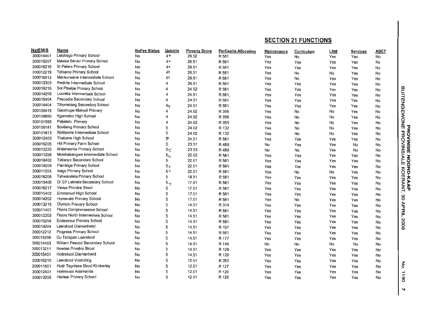| <b>NatEMIS</b> | Name                             | <b>NoFee Status</b> | Quintile         | <b>Poverty Score</b> | PerCapita Allocation | Maintenance | Curriculum | <b>LSM</b> | <b>Services</b> | <b>ABET</b> |                                          |
|----------------|----------------------------------|---------------------|------------------|----------------------|----------------------|-------------|------------|------------|-----------------|-------------|------------------------------------------|
| 300014401      | Letshego Primary School          | No                  | 4 ት              | 26.52                | R 581                | Yes         | No         | Yes        | Yes             | No          |                                          |
| 300015207      | Masiza Senior Primary School     | No                  | $4$ <sup>+</sup> | 26.51                | R 581                | Yes         | Yes        | Yes        | Yes             | No          |                                          |
| 300016216      | St Peters Primary School         | No                  | 4+               | 26.51                | R 581                | Yes         | Yes        | Yes        | Yes             | No          |                                          |
| 300012219      | Tshiamo Primary School           | No                  | 4ጉ               | 26.51                | R 581                | Yes         | No         | No         | Yes             | No          |                                          |
| 300016212      | Mankurwane Intermediate School   | No                  | 41               | 26.51                | R 581                | Yes         | No         | Yes        | Yes             | No          |                                          |
| 300013303      | Redirile Intermediate School     | No                  | 4                | 26.51                | R 581                | Yes         | Yes        | Yes        | Yes             | No          |                                          |
| 300016215      | Sol Plaatjie Primary School      | No                  | 4                | 24.52                | R 581                | Yes         | Yes        | Yes        | Yes             | No          | <b>SNIVORA BNOWBDNBTIUB</b><br>BISMIVORE |
| 300014206      | Lucretia Intermediate School     | No                  | 4                | 24.51                | R 581                | Yes         | Yes        | Yes        | Yes             | No          |                                          |
| 300015404      | Pescodia Secondary School        | No                  | 4                | 24.51                | R 581                | Yes         | Yes        | Yes        | Yes             | No          |                                          |
| 300014404      | Thomelang Secondary School       | No                  | 4 <sub>1</sub>   | 24.51                | R 581                | Yes         | Yes        | Yes        | Yes             | No          |                                          |
| 300100415      | Gaoshupe Makodi Primary          | No                  | 4                | 24.02                | R 356                | Yes         | No         | No         | Yes             | No          |                                          |
| 300100690      | Kgornotso High School            | No                  | 4                | 24,02                | R 356                | Yes         | No         | No         | Yes             | No          |                                          |
| 300101596      | Pabalelo Primary                 | No                  | 4                | 24.02                | R 355                | Yes         | No         | No         | Yes             | No          |                                          |
| 300100181      | <b>Bontleng Primary School</b>   | No                  | 5                | 24.02                | R 132                | Yes         | No         | No         | Yes             | No          |                                          |
| 300101813      | Reitlamile Intermediate School   | No                  | 5.               | 24.02                | R 132                | Yes         | No         | No         | Yes             | No          |                                          |
| 300012403      | Thabane High School              | No                  | 5                | 24.01                | R 581                | Yes         | Yes        | Yes        | Yes             | No          |                                          |
| 300015205      | Hill Primary Farm School         | No                  | 5                | 23.57                | R489                 | No          | Yes        | Yes        | No              | No          |                                          |
| 300012220      | Waterworks Primary School        | No                  | 5<               | 23.53                | R 489                | No          | No         | Yes        | No              | No          |                                          |
| 300011206      | Molehabangwe Intermediate School | No                  | $5+$             | 22.02                | R 581                | Yes         | Yes        | Yes        | Yes             | No          |                                          |
| 300016402      | <b>Tetlanyo Secondary School</b> | No                  | 5                | 22.01                | R 581                | Yes         | Yes        | Yes        | Yes             | No          | NOOD                                     |
| 300014209      | Flamingo Primary School          | No                  | 5<               | 22.01                | R 581                | Yes         | Yes        | Yes        | Yes             | No          |                                          |
| 300011204      | <b>Isago Primary School</b>      | No                  | $5\bar{z}$       | 22.01                | R 581                | Yes         | No         | No         | Yes             | No          | <b>JRD-KAAP<br/>KOERANT,</b>             |
| 300016206      | Tshwarelela Primary School       | No                  | 5                | 18.51                | R 581                | Yes         | Yes        | Yes        | Yes             | No          |                                          |
| 300015406      | Dr EP Lekhela Secondary School   | No                  | $5\sqrt{ }$      | 17.01                | R 581                | Yes         | Yes        | Yes        | Yes             | No          |                                          |
| 300016217      | Venus Primêre Skool              | No                  | 5                | 17.01                | R 581                | Yes         | Yes        | Yes        | Yes             | No          |                                          |
| 300015402      | Emmanuel High School             | No                  | 5                | 17.01                | R 581                | Yes         | Yes        | Yes        | Yes             | No          |                                          |
| 300014202      | Homevale Primary School          | No                  | 5                | 17.01                | R 581                | Yes         | No         | Yes        | Yes             | No          | ΟE                                       |
| 300013215      | <b>Olympic Primary School</b>    | No                  | 5                | 14.51                | R 314                | Yes         | Yes        | Yes        | Yes             | No          |                                          |
| 300011401      | Floors Comprehensive School      | No                  | 5                | 14.51                | R 581                | Yes         | Yes        | Yes        | Yes             | No          | APRIL                                    |
| 300012203      | Floors North Intermediate School | No                  | 5                | 14.51                | R 581                | Yes         | Yes        | Yes        | Yes             | No          |                                          |
| 300015204      | Endeavour Primary School         | No                  | 5                | 14.51                | R 581                | Yes         | Yes        | Yes        | Yes             | No          |                                          |
| 300014204      | Laerskool Diamantveld            | No                  | 5                | 14.51                | R 197                | Yes         | Yes        | Yes        | Yes             | No          | 8002                                     |
| 300012212      | Progress Primary School          | No                  | 5                | 14.51                | R 581                | Yes         | Yes        | Yes        | Yes             | No          |                                          |
| 300015206      | Du Toilspan Laerskool            | No                  | 5                | 14.51                | R 177                | Yes         | Yes        | Yes        | Yes             | No          |                                          |
| 300014403      | William Pescod Secondary School  | No                  | 5                | 14.51                | R 146                | No          | No         | No         | No              | No          |                                          |
| 300013211      | Newton Primêre Skool             | No                  | 5                | 14.51                | R 129                | Yes         | Yes        | Yes        | Yes             | No          |                                          |
| 300015401      | Hoërskool Diamantveld            | No                  | 5                | 14.51                | R 129                | Yes         | Yes        | Yes        | Yes             | No          |                                          |
| 300016210      | Laerskool Vooruitsig             | No                  | 5                | 12.01                | R 283                | Yes         | Yes        | Yes        | Yes             | No          |                                          |
| 300011501      | Hoër Tegniese Skool Kimberley    | No                  | 5                | 12.01                | R 127                | Yes         | Yes        | Yes        | Yes             | No          | $\mathsf{S}$                             |
| 300012401      | Hoërskool Adamantia              | No                  | 5                | 12.01                | R 126                | Yes         | Yes        | Yes        | Yes             | No          | $\vec{=}$                                |
| 300013205      | Herlear Primary School           | No                  | 5                | 12.01                | R 126                | Yes         | Yes        | Yes        | Yes             | No          | 80                                       |
|                |                                  |                     |                  |                      |                      |             |            |            |                 |             |                                          |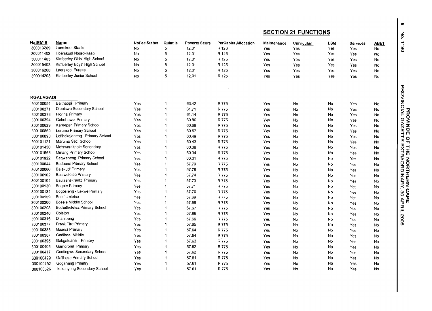| <b>NatEMIS</b>   | <b>Name</b>                   | NoFee Status | Quintile                 | <b>Poverty Score</b> | <b>PerCapita Allocation</b> | Maintenance | Curriculum | <b>LSM</b> | Services | 0611<br>ABET                                |
|------------------|-------------------------------|--------------|--------------------------|----------------------|-----------------------------|-------------|------------|------------|----------|---------------------------------------------|
| 300013209        | Laerskool Staats              | No           | 5                        | 12.01                | R 126                       | Yes         | Yes        | Yes        | Yes      | No                                          |
| 300011402        | Hoërskool Noord-Kaap          | No           | 5                        | 12.01                | R 126                       | Yes         | Yes        | Yes        | Yes      | No                                          |
| 300011403        | Kimberley Girls' High School  | No           | 5                        | 12.01                | R 125                       | Yes         | Yes        | Yes        | Yes      | No.                                         |
| 300015403        | Kimberley Boys' High School   | No           | 5                        | 12.01                | R 125                       | Yes         | Yes        | Yes        | Yes      | No                                          |
| 300016208        | Laerskool Eureka              | No           | 5                        | 12.01                | R 125                       | Yes         | Yes        | Yes        | Yes      | No.                                         |
| 300014203        | Kimberley Junior School       | No           | 5                        | 12.01                | R 125                       | Yes         | Yes        | Yes        | Yes      | <b>No</b>                                   |
|                  |                               |              |                          |                      |                             |             |            |            |          |                                             |
|                  |                               |              |                          |                      |                             |             |            |            |          |                                             |
| <b>KGALAGADI</b> |                               |              |                          |                      |                             |             |            |            |          | <b>PROVINCIAL</b>                           |
| 300100054        | Baithaopi Primary             | Yes          | 1                        | 63.42                | R 775                       | Yes         | No         | No         | Yes      | No                                          |
| 300100271        | Dibotswa Secondary School     | Yes          | $\mathbf{1}$             | 61.71                | R 775                       | Yes         | No         | <b>No</b>  | Yes      | No                                          |
| 300100373        | <b>Florina Primary</b>        | Yes          | -1                       | 61.14                | R 775                       | Yes         | No         | No         | Yes      | No                                          |
| 300100394        | Gahohuwe Primary              | Yes          | $\mathbf{1}$             | 60.86                | R 775                       | Yes         | No         | No         | Yes      | PROVINCE<br>No                              |
| 300100629        | Kareepan Primary School       | Yes          | $\overline{1}$           | 60.68                | R 775                       | Yes         | No         | No         | Yes      | <b>GAZET</b><br>No                          |
| 300100869        | Lerumo Primary School         | Yes          | 1                        | 60.57                | R 775                       | Yes         | No         | No         | Yes      | No                                          |
| 300100890        | Letihakajaneng Primary School | Yes          | $\overline{\mathbf{1}}$  | 60.49                | R 775                       | Yes         | No         | No.        | Yes      | No<br>낚                                     |
| 300101121        | Marumo Sec. School            | Yes          | $\mathbf{1}$             | 60.43                | R 775                       | Yes         | No         | No         | Yes      | No.                                         |
| 300101450        | Motswarakgole Secondary       | Yes          | 1                        | 60.38                | R 775                       | Yes         | No         | No         | Yes      | No                                          |
| 300101568        | <b>Omang Primary School</b>   | Yes          | 1                        | 60.34                | R 775                       | Yes         | No         | No         | Yes      | No                                          |
| 300101922        | Segwaneng Primary School      | Yes          | -1                       | 60.31                | R 775                       | Yes         | No         | No         | Yes      | <b>THE NORTHERN</b><br>EXTRAORDINARY,<br>No |
| 300100044        | Baduana Primary School        | Yes          | -1                       | 57.79                | R 775                       | Yes         | No         | No         | Yes      | No                                          |
| 300100066        | Balekudi Primary              | Yes          | 1                        | 57.76                | R 775                       | Yes         | No         | No         | Yes      | No                                          |
| 300100102        | <b>Batsweletse Primary</b>    | Yes          | 1                        | 57.74                | R 775                       | Yes         | No         | No         | Yes      | No                                          |
| 300100104        | Baviaanskrantz Primary        | Yes          | $\overline{\mathbf{1}}$  | 57.73                | R 775                       | Yes         | No         | No         | Yes      | No                                          |
| 300100130        | <b>Bogale Primary</b>         | Yes          | $\overline{\phantom{a}}$ | 57.71                | R 775                       | Yes         | No         | No         | Yes      | No                                          |
| 300100134        | Bogosieng - Lekwe Primary     | Yes          | 1                        | 57.70                | R 775                       | Yes         | No         | No         | Yes      | No                                          |
| 300100159        | <b>Boitshireletso</b>         | Yes          | $\overline{\phantom{a}}$ | 57.69                | R 775                       | Yes         | No         | No         | Yes      | <b>CAPE</b><br>မ္မ<br>$\mathsf{No}$         |
| 300100200        | Bosele Middle School          | Yes          | -1                       | 57.68                | R 775                       | Yes         | No         | No         | Yes      | <b>APRIL</b><br>No                          |
| 300100208        | Bothetheletsa Primary School  | Yes          | -1                       | 57.67                | R 775                       | Yes         | No         | No         | Yes      | No                                          |
| 300100246        | Colston                       | Yes          | 1                        | 57.66                | R 775                       | Yes         | No         | No         | Yes      | No                                          |
| 300100316        | Ditshipeng                    | Yes          | 1                        | 57.66                | R 775                       | Yes         | No         | No         | Yes      | 8002<br>No                                  |
| 300100377        | Frank Tire Primary            | Yes          | $\mathbf{1}$             | 57.65                | R 775                       | Yes         | No         | No         | Yes      | No                                          |
| 300100383        | Gaaesi Primary                | Yes          | $\overline{\mathbf{1}}$  | 57.64                | R 775                       | Yes         | No         | No         | Yes      | No                                          |
| 300100387        | Gadiboe Middle                | Yes          | 1                        | 57.64                | R 775                       | Yes         | No         | No         | Yes      | No                                          |
| 300100395        | Gakgatsana Primary            | Yes          | $\mathbf{1}$             | 57.63                | R 775                       | Yes         | No         | No         | Yes      | No                                          |
| 300100406        | Gamorona Primary              | Yes          | 1                        | 57.62                | R 775                       | Yes         | No         | No         | Yes      | No                                          |
| 300100417        | Gaotingwe Secondary School    | Yes          | $\mathbf 1$              | 57.62                | R 775                       | Yes         | No         | No         | Yes      | No                                          |
| 300100429        | Gatthose Primary School       | Yes          | -1                       | 57.61                | R 775                       | Yes         | No         | No         | Yes      | No                                          |
| 300100452        | Goganang Primary              | Yes          | 1                        | 57.61                | R 775                       | Yes         | No         | No         | Yes      | No                                          |
| 300100526        | Ikakanyeng Secondary School   | Yes          | $\mathbf{1}$             | 57.61                | R 775                       | Yes         | No         | No         | Yes      | No                                          |

 $^{\circ}$ 5 I Z  $\mathsf{p}$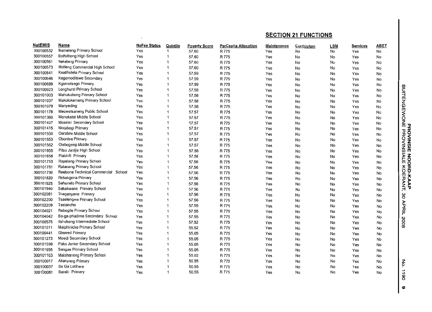| <b>NatEMIS</b> | Name                                | <b>NoFee Status</b> | Quintile                 | <b>Poverty Score</b> | <b>PerCapita Allocation</b> | <b>Maintenance</b> | Curriculum | <b>LSM</b> | Services | <b>ABET</b> |                               |
|----------------|-------------------------------------|---------------------|--------------------------|----------------------|-----------------------------|--------------------|------------|------------|----------|-------------|-------------------------------|
| 300100532      | Ikemeleng Primary School            | Yes                 |                          | 57.60                | R 775                       | Yes                | No         | No         | Yes      | No          |                               |
| 300100557      | Bothithong High School              | Yes                 |                          | 57.60                | R 775                       | Yes                | No         | No         | Yes      | No          |                               |
| 300100561      | Itekeleng Primary                   | Yes                 |                          | 57.60                | R 775                       | Yes                | No         | No         | Yes      | No          |                               |
| 300100573      | Itlotleng Commercial High School    | Yes                 |                          | 57.60                | R 775                       | Yes                | No         | No         | Yes      | No          |                               |
| 300100641      | Keatlholela Primary School          | Yes                 |                          | 57.59                | R 775                       | Yes                | No         | No         | Yes      | No          |                               |
| 300100646      | Kegomoditswe Secondary              | Yes                 |                          | 57.59                | R 775                       | Yes                | No         | No         | Yes      | No          |                               |
| 300100689      | Kgomotsego Primary                  | Yes                 | -1                       | 57.59                | R 775                       | Yes                | No         | No         | Yes      | No          |                               |
| 300100923      | Longhurst Primary School            | Yes                 |                          | 57.58                | R 775                       | Yes                | No         | No         | Yes      | No          | BUITENGEWONE<br>BUITENGEWONE  |
| 300101003      | Mahukubung Primary School           | Yes                 | -1                       | 57.58                | R 775                       | Yes                | No         | No         | Yes      | No          |                               |
| 300101037      | Makolokemeng Primary School         | Yes                 |                          | 57.58                | R 775                       | Yes                | No         | No         | Yes      | No          |                               |
| 300101079      | Manyeding                           | Yes                 | $\mathbf 1$              | 57.58                | R 775                       | Yes                | No         | No         | Yes      | No          |                               |
| 300101178      | Mecwetsaneng Public School          | Yes                 | f                        | 57.57                | R 775                       | Yes                | No         | No         | Yes      | No          |                               |
| 300101360      | Monoketsi Middle School             | Yes                 |                          | 57.57                | R 775                       | Yes                | No         | No         | Yes      | No          |                               |
| 300101407      | Mosinki Secondary School            | Yes                 | 1                        | 57.57                | R 775                       | Yes                | No         | No         | Yes      | No          |                               |
| 300101415      | Motabogi Primary                    | Yes                 | -1                       | 57.57                | R 775                       | Yes                | No         | No         | Yes      | No          |                               |
| 300101550      | Oarabile Middle School              | Yes                 | -1                       | 57.57                | R 775                       | Yes                | No         | No         | Yes      | No          |                               |
| 300101553      | Obontse Primary                     | Yes                 | -1                       | 57.57                | R 775                       | Yes                | No         | No         | Yes      | No          |                               |
| 300101562      | Olebogeng Middle School             | Yes                 | $\mathbf 1$              | 57.57                | R 775                       | Yes                | No         | No         | Yes      | No          | <b>ROVINSIE I</b><br>PROVINSI |
| 300101655      | Pitso Jantjie High School           | Yes                 | 1                        | 57.56                | R 775                       | Yes                | No         | No         | Yes      | No          |                               |
| 300101658      | Platdrift Primary                   | Yes                 | $\overline{\mathbf{1}}$  | 57.56                | R 775                       | Yes                | No         | No         | Yes      | No          |                               |
| 300101753      | Rapelang Primary School             | Yes                 | -1                       | 57.56                | R 775                       | Yes                | No         | No         | Yes      | No          | <b>NOOD</b>                   |
| 300101761      | Ratanang Primary School             | Yes                 | $\overline{\mathbf{1}}$  | 57.56                | R 775                       | Yes                | No         | No         | Yes      | No          |                               |
| 300101790      | Reebone Technical Commercial School | Yes                 | 1                        | 57.56                | R 775                       | Yes                | No         | No         | Yes      | No          |                               |
| 300101820      | Rekakgona Primary                   | Yes                 | 1                        | 57.56                | R 775                       | Yes                | No         | No         | Yes      | No          | <b>JRD-KAAP<br/>KOERANT,</b>  |
| 300101925      | Sehunelo Primary School             | Yes                 | 1                        | 57.56                | R 775                       | Yes                | No         | No         | Yes      | No          |                               |
| 300101940      | Sekokwane Primary School            | Yes                 | $\mathbf 1$              | 57.56                | R 775                       | Yes                | No         | No         | Yes      | No          |                               |
| 300102081      | Thaganyane Primary                  | Yes                 | 1                        | 57.56                | R 775                       | Yes                | No         | No         | Yes      | No          | gΟ                            |
| 300102200      | <b>Tsaelengwe Primary School</b>    | Yes                 | 1                        | 57.56                | R 775                       | Yes                | No         | No         | Yes      | No          |                               |
| 300102209      | Tselancho                           | Yes                 | -1                       | 57.55                | R 775                       | Yes                | No         | No         | Yes      | No          | <b>APRIL</b>                  |
| 300104021      | Rebogile Primary School             | Yes                 | 1                        | 57.55                | R 775                       | Yes                | No         | No         | Yes      | No          |                               |
| 300104042      | Ba-ga-phadima Secondary School      | Yes                 | $\overline{\phantom{a}}$ | 57.55                | R 775                       | Yes                | No         | No         | Yes      | No          |                               |
| 300100575      | Itshokeng Intermediate School       | Yes                 | 1                        | 57.52                | R 775                       | Yes                | No         | No         | Yes      | No          | 8002                          |
| 300101011      | Maiphinicke Primary School          | Yes                 | $\overline{1}$           | 55.52                | R 775                       | Yes                | No         | No         | Yes      | No          |                               |
| 300100441      | Glenred Primary                     | Yes                 |                          | 55.05                | R 775                       | Yes                | No         | No         | Yes      | No          |                               |
| 300101273      | Moedi Secondary School              | Yes                 | 1                        | 55.05                | R 775                       | Yes                | No         | No         | Yes      | No          |                               |
| 300101598      | Pako Junior Secondary School        | Yes                 | 1                        | 55.05                | R 775                       | Yes                | No         | No         | Yes      | No          |                               |
| 300101955      | Sengae Primary School               | Yes                 | $\mathbf{1}$             | 55.05                | R 775                       | Yes                | No         | <b>No</b>  | Yes      | No          |                               |
| 300101163      | Matshaneng Primary School           | Yes                 | -1                       | 55.02                | R 775                       | Yes                | No         | No         | Yes      | No          |                               |
| 300100017      | Akanyang Primary                    | Yes                 | -1                       | 50.55                | R 775                       | Yes                | No         | No         | Yes      | No          |                               |
| 300100037      | Ba Ga Lotlhare                      | Yes                 | $\overline{1}$           | 50.55                | R 775                       | Yes                | No         | No         | Yes      | No          | š                             |
| 300100081      | Bareki Primary                      | Yes                 | $\overline{1}$           | 50.55                | R 775                       | Yes                | No         | No         | Yes      | No          | $\overrightarrow{a}$          |

(0 0  $\bullet$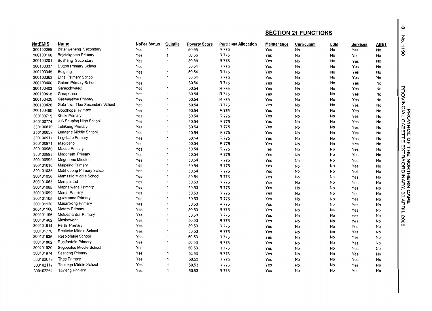|                |                                |              |                         |                      |                             | <b>SECTION 21 FUNCTIONS</b> |            |            |          |      |
|----------------|--------------------------------|--------------|-------------------------|----------------------|-----------------------------|-----------------------------|------------|------------|----------|------|
| <b>NatEMIS</b> | Name                           | NoFee Status | Quintile                | <b>Poverty Score</b> | <b>PerCapita Allocation</b> | Maintenance                 | Curriculum | <b>LSM</b> | Services | ABET |
| 300100099      | Batshweneng Secondary          | Yes          | $\mathbf{1}$            | 50.55                | R 775                       | Yes                         | No         | No         | Yes      | No   |
| 300100166      | Bojelakgomo Primary            | Yes          | 1                       | 50.55                | R 775                       | Yes                         | No         | No         | Yes      | No   |
| 300100201      | Bosheng Secondary              | Yes          | $\mathbf 1$             | 50.55                | R 775                       | Yes                         | No         | No         | Yes      | No   |
| 300100337      | Dutton Primary School          | Yes          | 1                       | 50.54                | R 775                       | Yes                         | No         | No         | Yes      | No   |
| 300100345      | Edigang                        | Yes          | $\overline{1}$          | 50.54                | R 775                       | Yes                         | No         | No         | Yes      | No   |
| 300100363      | Ethel Primary School           | Yes          | 1                       | 50.54                | R 775                       | Yes                         | No         | No         | Yes      | No   |
| 300100400      | Galore Primary School          | Yes          | -1                      | 50.54                | R 775                       | Yes                         | No         | No         | Yes      | No   |
| 300100403      | Gamochwaedi                    | Yes          | 1                       | 50.54                | R 775                       | Yes                         | No         | No         | Yes      | No   |
| 300100418      | Garapoana                      | Yes          | 1                       | 50.54                | R 775                       | Yes                         | No         | No         | Yes      | No   |
| 300100420      | Gaseagelwe Primary             | Yes          | 1                       | 50.54                | R 775                       | Yes                         | No         | No         | Yes      | No   |
| 300100426      | Gata-Lwa-Tlou Secondary School | Yes          | $\overline{1}$          | 50.54                | R 775                       | Yes                         | No         | No         | Yes      | No   |
| 300100460      | Goodhope Primary               | Yes          | 1                       | 50.54                | R 775                       | Yes                         | No         | No         | Yes      | No   |
| 300100715      | Khuis Primary                  | Yes          | 1                       | 50.54                | R 775                       | Yes                         | No         | No         | Yes      | No   |
| 300100774      | K S Shuping High School        | Yes          | 1                       | 50.54                | R 775                       | Yes                         | No         | No         | Yes      | No   |
| 300100840      | Lehikeng Primary               | Yes          | $\mathbf 1$             | 50.54                | R 775                       | Yes                         | No         | No         | Yes      | No   |
| 300100859      | Lenaane Middle School          | Yes          | $\mathbf{1}$            | 50.54                | R 775                       | Yes                         | No         | No         | Yes      | No   |
| 300100917      | Logobate Primary               | Yes          | 1                       | 50.54                | R 775                       | Yes                         | No         | No         | Yes      | No   |
| 300100971      | Madibeng                       | Yes          | 1                       | 50.54                | R 775                       | Yes                         | No         | No         | Yes      | No   |
| 300100980      | Maduo Primary                  | Yes          | 1                       | 50.54                | R 775                       | Yes                         | No         | No         | Yes      | No   |
| 300100993      | Magonate Primary               | Yes          | $\mathbf 1$             | 50.54                | R 775                       | Yes                         | No         | No         | Yes      | No   |
| 300100995      | Magonono Middle                | Yes          | 1                       | 50.54                | R 775                       | Yes                         | No         | No         | Yes      | No   |
| 300101010      | Maipeing Primary               | Yes          | $\overline{1}$          | 50.54                | R 775                       | Yes                         | No         | No         | Yes      | No   |
| 300101035      | Makhubung Primary School       | Yes          | $\overline{1}$          | 50.54                | R 775                       | Yes                         | No         | No         | Yes      | No   |
| 300101056      | Mamasilo Middle School         | Yes          | 1                       | 50.54                | R 775                       | Yes                         | No         | No         | Yes      | No   |
| 300101063      | Mampestad                      | Yes          | $\overline{\mathbf{1}}$ | 50.53                | R 775                       | Yes                         | No         | No         | Yes      | No   |
| 300101085      | Maphalwane Primary             | Yes          | $\overline{\mathbf{1}}$ | 50.53                | R 775                       | Yes                         | No         | No         | Yes      | No   |
| 300101099      | March Primary                  | Yes          | 1                       | 50.53                | R 775                       | Yes                         | No         | No         | Yes      | No   |
| 300101105      | Maremane Primary               | Yes          | $\overline{1}$          | 50.53                | R 775                       | Yes                         | No         | No         | Yes      | No   |
| 300101125      | Masankong Primary              | Yes          | $\overline{1}$          | 50.53                | R 775                       | Yes                         | No         | No         | Yes      | No   |
| 300101160      | Matoro Primary                 | Yes          | 1                       | 50.53                | R 775                       | Yes                         | No         | No         | Yes      | No   |
| 300101196      | Metsemantsi Primary            | Yes          | $\overline{1}$          | 50.53                | R 775                       | Yes                         | No         | No         | Yes      | No   |
| 300101402      | Moshaweng                      | Yes          | 1                       | 50.53                | R 775                       | Yes                         | No         | No         | Yes      | No   |
| 300101614      | Perth Primary                  | Yes          | $\overline{1}$          | 50.53                | R 775                       | Yes                         | No         | No         | Yes      | No   |
| 300101776      | Reaiteka Middle School         | Yes          | $\overline{1}$          | 50.53                | R 775                       | Yes                         | No         | No         | Yes      | No   |
| 300101836      | Resolofetse School             | Yes          | $\overline{1}$          | 50.53                | R 775                       | Yes                         | No         | No         | Yes      | No   |
| 300101862      | Rustfontein Primary            | Yes          | $\overline{1}$          | 50.53                | R 775                       | Yes                         | No         | No         | Yes      | No   |
| 300101920      | Segopotso Middle School        | Yes          | 1                       | 50.53                | R 775                       | Yes                         | No         | No         | Yes      | No   |
| 300101974      | Sesheng Primary                | Yes          | 1                       | 50.53                | R 775                       | Yes                         | No         | No         | Yes      | No   |
| 300102079      | Thae Primary                   | Yes          | 1                       | 50.53                | R 775                       | Yes                         | No         | No         | Yes      | No   |
| 300102117      | Thusego Middle School          | Yes          | 1                       | 50.53                | R 775                       | Yes                         | No         | No         | Yes      | No   |
| 300102261      | <b>Tsineng Primary</b>         | Yes          | $\overline{1}$          | 50.53                | R 775                       | Yes                         | No         | No         | Yes      | No   |

 $\ddot{\bullet}$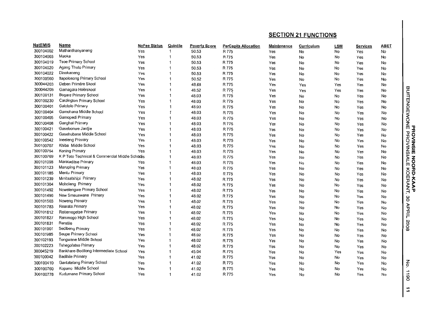| <b>NatEMIS</b> | Name                                           | <b>NoFee Status</b> | Quintile     | <b>Poverty Score</b> | <b>PerCapita Allocation</b> | <b>Maintenance</b> | Curriculum | <b>LSM</b> | Services | ABET      |                                                                  |
|----------------|------------------------------------------------|---------------------|--------------|----------------------|-----------------------------|--------------------|------------|------------|----------|-----------|------------------------------------------------------------------|
| 300104002      | Mathanthanyaneng                               | Yes                 | 1            | 50.53                | R 775                       | Yes                | No         | No         | Yes      | No        |                                                                  |
| 300104003      | Maoka                                          | Yes                 | 1            | 50.53                | R 775                       | Yes                | No         | No         | Yes      | No        |                                                                  |
| 300104019      | <b>Tsoe Primary School</b>                     | Yes                 | 1            | 50.53                | R 775                       | Yes                | No         | No         | Yes      | No        |                                                                  |
| 300104020      | Agang Thuto Primary                            | Yes                 | 1            | 50.53                | R 775                       | Yes                | No         | No         | Yes      | No        |                                                                  |
| 300104022      | Dinokaneng                                     | Yes                 | 1            | 50.53                | R 775                       | Yes                | No         | No         | Yes      | No        |                                                                  |
| 300100560      | Itapolosong Primary School                     | Yes                 | 1            | 50.52                | R 775                       | Yes                | No         | No         | Yes      | No        |                                                                  |
| 300044203      | Deben Primêre Skool                            | Yes                 | 1            | 48.68                | R 775                       | Yes                | Yes        | Yes        | Yes      | No        |                                                                  |
| 300044208      | Gamagara Hoërskool                             | Yes                 | 1            | 48.52                | R 775                       | Yes                | Yes        | Yes        | Yes      | No        | BUITENG                                                          |
| 300100131      | Bogare Primary School                          | Yes                 | 1            | 48.03                | R 775                       | Yes                | No         | No         | Yes      | No        |                                                                  |
| 300100230      | Cardington Primary School                      | Yes                 | $\mathbf{1}$ | 48.03                | R 775                       | Yes                | No         | No         | Yes      | No        |                                                                  |
| 300100401      | Galotolo Primary                               | Yes                 | 1            | 48.03                | R 775                       | Yes                | No         | No         | Yes      | No        |                                                                  |
| 300100404      | Gamohana Middle School                         | Yes                 | 1            | 48.03                | R 775                       | Yes                | No         | No         | Yes      | No        | ∃NOM∃ <sup>g</sup><br>ਬਿ                                         |
| 300100405      | Gamopedi Primary                               | Yes                 | 1            | 48.03                | R 775                       | Yes                | No         | No         | Yes      | No        |                                                                  |
| 300100408      | Ganghai Primary                                | Yes                 | $\mathbf{1}$ | 48.03                | R 775                       | Yes                | No         | No         | Yes      | No        |                                                                  |
| 300100421      | 'Gasebonwe Jantile                             | Yes                 | 1            | 48.03                | R 775                       | Yes                | No         | No         | Yes      | No        |                                                                  |
| 300100422      | Gasehubane Middle School                       | Yes                 | 1            | 48.03                | R 775                       | Yes                | No         | No         | Yes      | No        | ᠊ᠣ<br>õ                                                          |
| 300100542      | Ineeleng Primary                               | Yes                 | 1            | 48.03                | R 775                       | Yes                | No         | No         | Yes      | No        | <b>DVINSIE</b><br><b>DVINSIE</b>                                 |
| 300100707      | Khiba Middle School                            | Yes                 | 1            | 48.03                | R 775                       | Yes                | No         | No         | Yes      | No        |                                                                  |
| 300100754      | Koning Primary                                 | Yes                 | 1            | 48.03                | R 775                       | Yes                | No         | No         | Yes      | No        |                                                                  |
| 300100769      | K P Toto Technical & Commercial Middle Schoces |                     | 1            | 48.03                | R 775                       | Yes                | No         | No         | Yes      | No        |                                                                  |
| 300101098      | Marataditse Primary                            | Yes                 | 1            | 48.03                | R 775                       | Yes                | No         | No         | Yes      | No        | <b>NOOD</b>                                                      |
| 300101123      | Maruping Primary                               | Yes                 | 1            | 48.03                | R 775                       | Yes                | No         | No         | Yes      | No        |                                                                  |
| 300101185      | Mentu Primary                                  | Yes                 | 1            | 48.03                | R 775                       | Yes                | No         | No         | Yes      | No        | <b>JRD-KAAP<br/>KOERANT,</b>                                     |
| 300101239      | Mmitsatshipi Primary                           | Yes                 |              | 48.02                | R 775                       | Yes                | No         | No         | Yes      | No        |                                                                  |
| 300101304      | Moholeng Primary                               | Yes                 | 1            | 48.02                | R 775                       | Yes                | No         | No         | Yes      | No        |                                                                  |
| 300101492      | Ncwelengwe Primary School                      | Yes                 |              | 48.02                | R 775                       | Yes                | No         | No         | Yes      | No        |                                                                  |
| 300101496      | New Smauswane Primary                          | Yes                 | 1            | 48.02                | R 775                       | Yes                | No         | No         | Yes      | No        |                                                                  |
| 300101503      | Noweng Primary                                 | Yes                 |              | 48.02                | R 775                       | Yes                | No         | No         | Yes      | No        | မိ                                                               |
| 300101783      | Rearata Primary                                | Yes                 |              | 48.02                | R 775                       | Yes                | No         | No         | Yes      | No        | APRIL                                                            |
| 300101812      | Reitemogetse Primary                           | Yes                 |              | 48.02                | R 775                       | Yes                | No         | No         | Yes      | No        |                                                                  |
| 300101827      | Remmogo High School                            | Yes                 |              | 48.02                | R 775                       | Yes                | No         | No         | Yes      | No        |                                                                  |
| 300101831      | Reratile                                       | Yes                 |              | 48.02                | R 775                       | Yes                | No         | No         | Yes      | No        | 8002                                                             |
| 300101901      | Sedibeng Primary                               | Yes                 |              | 48.02                | R 775                       | Yes                | No         | No         | Yes      | <b>No</b> |                                                                  |
| 300101985      | Seupe Primary School                           | Yes                 |              | 48.02                | R 775                       | Yes                | No         | No         | Yes      | No        |                                                                  |
| 300102193      | Tongwane Middle School                         | Yes                 |              | 48.02                | R 775                       | Yes                | No         | No         | Yes      | No.       |                                                                  |
| 300102223      | <b>Tshegofatso Primary</b>                     | Yes                 |              | 48.02                | R 775                       | Yes                | No         | No         | Yes      | <b>No</b> |                                                                  |
| 300045219      | Bankhare-Bodilong Intermediate School          | Yes                 |              | 45.04                | R 775                       | Yes                | No         | Yes        | Yes      | No        |                                                                  |
| 300100042      | Badihile Primary                               | Yes                 |              | 41.02                | R 775                       | Yes                | No         | No         | Yes      | No        |                                                                  |
| 300100410      | <b>Gantatelang Primary School</b>              | Yes                 |              | 41.02                | R 775                       | Yes                | No         | No         | Yes      | No        | $\frac{2}{5}$                                                    |
| 300100760      | Kopano Middle School                           | Yes                 |              | 41.02                | R 775                       | Yes                | No         | No         | Yes      | No        |                                                                  |
| 300100778      | Kudumane Primary School                        | Yes                 | 1            | 41.02                | R 775                       | Yes                | No         | No         | Yes      | No        | $\overline{\phantom{a}}$<br>$\overline{\phantom{a}}$<br>$\omega$ |
|                |                                                |                     |              |                      |                             |                    |            |            |          |           |                                                                  |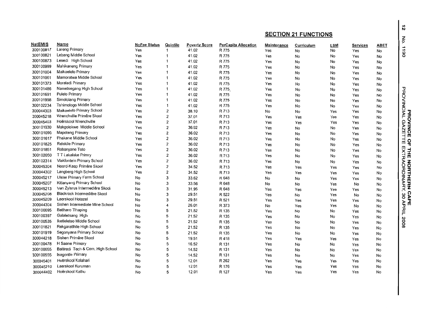| Name<br><b>NoFee Status</b><br>Quintile<br><b>Poverty Score</b><br><b>PerCapita Allocation</b><br>ABET<br>Maintenance<br>Curriculum<br><b>LSM</b><br><b>Services</b><br>Lareng Primary<br>$\overline{1}$<br>41.02<br>R 775<br>Yes<br>Yes<br>No<br>No<br>Yes<br>No<br>Lebang Middle School<br>41.02<br>R 775<br>Yes<br>$\overline{1}$<br>Yes<br>No<br>No<br>Yes<br>No<br>Lesedi High School<br>Yes<br>41.02<br>R 775<br>-1<br>Yes<br>No<br>No<br>Yes<br>No<br>Mahikaneng Primary<br>41.02<br>R 775<br>1<br>Yes<br>No<br>Yes<br>Yes<br>No<br>No<br>Maikaelelo Primary<br>41.02<br>R 775<br>Yes<br>$\overline{1}$<br>No<br>Yes<br>No<br>Yes<br>No<br>Mamoratwa Middle School<br>41.02<br>R 775<br>1<br>Yes<br>No<br>No<br>Yes<br>Yes<br>No<br>Moraladi Primary<br>41.02<br>R 775<br>Yes<br>1<br>Yes<br>No<br>No<br>Yes<br>No<br>Nametsegang High School<br>1<br>41.02<br>R 775<br>Yes<br>No<br>Yes<br>No<br>Yes<br>No<br>Pulelo Primary<br>41.02<br>R 775<br>Yes<br>1<br>Yes<br>No<br>No<br>Yes<br>No<br>Simololang Primary<br>41.02<br>R 775<br>Yes<br>1<br>Yes<br>No<br>No<br>Yes<br>No<br>Tshimologo Middle School<br>41.02<br>R 775<br>Yes<br>1<br>Yes<br>No<br>No<br>Yes<br>No<br>Maikaelelo Primary School<br>$\overline{\mathbf{2}}$<br>38.10<br>Yes<br>R 713<br>No<br>No<br>Yes<br>Yes<br>No<br>Wrenchville Primêre Skool<br>$\overline{\mathbf{c}}$<br>37.01<br>R 713<br>Yes<br>Yes<br>Yes<br>Yes<br>Yes<br>No<br>Hoërskool Wrenchville<br>$\overline{\mathbf{c}}$<br>37.01<br>Yes<br>R 713<br>Yes<br>Yes<br>Yes<br>Yes<br>No<br>Makgolokwe Middle School<br>Yes<br>2<br>36.02<br>R 713<br>No<br>No<br>Yes<br>Yes<br>No<br>Mapoteng Primary<br>2<br>36.02<br>R 713<br>Yes<br>Yes<br>No<br>No<br>Yes<br>No<br>Phakane Middle School<br>$\overline{c}$<br>36.02<br>Yes<br>R 713<br>No<br><b>No</b><br>Yes<br>Yes<br>No<br>Relekile Primary<br>$\overline{2}$<br>36.02<br>Yes<br>R 713<br>No<br>Yes<br>No<br>Yes<br>No<br>$\overline{2}$<br>Robanyane Toto<br>36.02<br>R 713<br>Yes<br>Yes<br>No<br>No<br>Yes<br>No<br>TT Lakalake Primry<br>2<br>36.02<br>R 713<br>Yes<br>No<br>No<br>Yes<br>Yes<br>No<br>Vlakfontein Primary School<br>$\overline{2}$<br>36.02<br>Yes<br>R 713<br>Yes<br>No<br>No<br>Yes<br>No<br>Noord-Kaap Primêre Skool<br>$\overline{\mathbf{2}}$<br>34.52<br>R 713<br>Yes<br>Yes<br>Yes<br>Yes<br>Yes<br>No<br>Langberg High School<br>$\overline{2}$<br>34.52<br>R 713<br>Yes<br>Yes<br>Yes<br>Yes<br>Yes<br>No<br>Ulster Primary Farm School<br>33.62<br>No<br>3<br>R 648<br>No<br>No<br>Yes<br>Yes<br>No<br>Kitlanyang Primary School<br>3<br>33.56<br>R 648<br>No<br>No<br>No<br>Yes<br>No<br>No<br>Van Zylsrus Intermediêre Skool<br>3<br>31.95<br>R 648<br>No<br>Yes<br>Yes<br>Yes<br>Yes<br>No<br>Blackrock Intermediêre Skool<br>3<br>29.51<br>No<br>R 522<br>Yes<br>No<br>Yes<br>No<br>No<br>300045209<br>Laerskool Hotazel<br>3<br>29.51<br>R 521<br>No<br>Yes<br>Yes<br>Yes<br>Yes<br>No<br>Sishen Intermediate Mine School<br>26.01<br>R 373<br>No<br>No<br>Yes<br>4<br>Yes<br>No<br>No<br><b>Battharo Tihaping</b><br>21.52<br>No<br>5<br>R 135<br>Yes<br>No<br>No<br>Yes<br>No<br>300100397<br>Galaletsang High<br>5<br>21.52<br>R 135<br>No<br>Yes<br>No<br>No<br>Yes<br>No<br>Iketleletso Middle School<br>21.52<br>No<br>5<br>R 135<br>Yes<br>No<br>No<br>Yes<br>No<br>Rekgarathile High School<br>21.52<br>5<br>R 135<br>No<br>No<br>Yes<br>No<br>Yes<br>No<br>Segonyana Primary School<br>300101919<br>21.52<br>5<br>R 135<br>No<br>Yes<br>No<br>No<br>Yes<br>No<br>Sishen Primêre Skool<br>5<br>300044218<br>No<br>19.51<br>R 418<br>Yes<br>Yes<br>Yes<br>Yes<br>No<br>H Saane Primary<br>300100478<br>5<br>16.52<br>R 131<br>No<br>No<br>Yes<br>No<br>Yes<br>No<br>Baitiredi Tech & Com. High School<br>5<br>14.52<br>R 131<br>No<br>No<br>Yes<br>No<br>Yes<br>No<br><b>Isagontle Primary</b><br>14.52<br>R 131<br>5<br>No<br>No<br>Yes<br>No<br>Yes<br>No<br>R 262<br>Hoërskool Kalahari<br>12.01<br>Yes<br>Yes<br>Yes<br>Yes<br>No<br>No<br>5<br>300045401<br>Laerskool Kuruman<br>12.01<br>R 176<br>Yes<br>Yes<br>Yes<br>No<br>5<br>Yes<br>300045210<br>No<br>Yes<br>No<br>Hoërskool Kathu<br>12.01<br>R 127<br>Yes<br>Yes<br>5<br>Yes<br>300044402<br>No |           |  |  | <b>SECTION 21 FUNCTIONS</b> |  |  |  |  |
|-------------------------------------------------------------------------------------------------------------------------------------------------------------------------------------------------------------------------------------------------------------------------------------------------------------------------------------------------------------------------------------------------------------------------------------------------------------------------------------------------------------------------------------------------------------------------------------------------------------------------------------------------------------------------------------------------------------------------------------------------------------------------------------------------------------------------------------------------------------------------------------------------------------------------------------------------------------------------------------------------------------------------------------------------------------------------------------------------------------------------------------------------------------------------------------------------------------------------------------------------------------------------------------------------------------------------------------------------------------------------------------------------------------------------------------------------------------------------------------------------------------------------------------------------------------------------------------------------------------------------------------------------------------------------------------------------------------------------------------------------------------------------------------------------------------------------------------------------------------------------------------------------------------------------------------------------------------------------------------------------------------------------------------------------------------------------------------------------------------------------------------------------------------------------------------------------------------------------------------------------------------------------------------------------------------------------------------------------------------------------------------------------------------------------------------------------------------------------------------------------------------------------------------------------------------------------------------------------------------------------------------------------------------------------------------------------------------------------------------------------------------------------------------------------------------------------------------------------------------------------------------------------------------------------------------------------------------------------------------------------------------------------------------------------------------------------------------------------------------------------------------------------------------------------------------------------------------------------------------------------------------------------------------------------------------------------------------------------------------------------------------------------------------------------------------------------------------------------------------------------------------------------------------------------------------------------------------------------------------------------------------------------------------------------------------------------------------------------------------------------------------------------------------------------------------------------------------------------------------------------------------------------------------------------------------------------------------------------------------------------------------------------------------------------------------------------------------------------------------------------------------------------------------------------------------------------------------|-----------|--|--|-----------------------------|--|--|--|--|
|                                                                                                                                                                                                                                                                                                                                                                                                                                                                                                                                                                                                                                                                                                                                                                                                                                                                                                                                                                                                                                                                                                                                                                                                                                                                                                                                                                                                                                                                                                                                                                                                                                                                                                                                                                                                                                                                                                                                                                                                                                                                                                                                                                                                                                                                                                                                                                                                                                                                                                                                                                                                                                                                                                                                                                                                                                                                                                                                                                                                                                                                                                                                                                                                                                                                                                                                                                                                                                                                                                                                                                                                                                                                                                                                                                                                                                                                                                                                                                                                                                                                                                                                                                                                             | NatEMIS   |  |  |                             |  |  |  |  |
|                                                                                                                                                                                                                                                                                                                                                                                                                                                                                                                                                                                                                                                                                                                                                                                                                                                                                                                                                                                                                                                                                                                                                                                                                                                                                                                                                                                                                                                                                                                                                                                                                                                                                                                                                                                                                                                                                                                                                                                                                                                                                                                                                                                                                                                                                                                                                                                                                                                                                                                                                                                                                                                                                                                                                                                                                                                                                                                                                                                                                                                                                                                                                                                                                                                                                                                                                                                                                                                                                                                                                                                                                                                                                                                                                                                                                                                                                                                                                                                                                                                                                                                                                                                                             | 300100817 |  |  |                             |  |  |  |  |
|                                                                                                                                                                                                                                                                                                                                                                                                                                                                                                                                                                                                                                                                                                                                                                                                                                                                                                                                                                                                                                                                                                                                                                                                                                                                                                                                                                                                                                                                                                                                                                                                                                                                                                                                                                                                                                                                                                                                                                                                                                                                                                                                                                                                                                                                                                                                                                                                                                                                                                                                                                                                                                                                                                                                                                                                                                                                                                                                                                                                                                                                                                                                                                                                                                                                                                                                                                                                                                                                                                                                                                                                                                                                                                                                                                                                                                                                                                                                                                                                                                                                                                                                                                                                             | 300100821 |  |  |                             |  |  |  |  |
|                                                                                                                                                                                                                                                                                                                                                                                                                                                                                                                                                                                                                                                                                                                                                                                                                                                                                                                                                                                                                                                                                                                                                                                                                                                                                                                                                                                                                                                                                                                                                                                                                                                                                                                                                                                                                                                                                                                                                                                                                                                                                                                                                                                                                                                                                                                                                                                                                                                                                                                                                                                                                                                                                                                                                                                                                                                                                                                                                                                                                                                                                                                                                                                                                                                                                                                                                                                                                                                                                                                                                                                                                                                                                                                                                                                                                                                                                                                                                                                                                                                                                                                                                                                                             | 300100873 |  |  |                             |  |  |  |  |
|                                                                                                                                                                                                                                                                                                                                                                                                                                                                                                                                                                                                                                                                                                                                                                                                                                                                                                                                                                                                                                                                                                                                                                                                                                                                                                                                                                                                                                                                                                                                                                                                                                                                                                                                                                                                                                                                                                                                                                                                                                                                                                                                                                                                                                                                                                                                                                                                                                                                                                                                                                                                                                                                                                                                                                                                                                                                                                                                                                                                                                                                                                                                                                                                                                                                                                                                                                                                                                                                                                                                                                                                                                                                                                                                                                                                                                                                                                                                                                                                                                                                                                                                                                                                             | 300100999 |  |  |                             |  |  |  |  |
|                                                                                                                                                                                                                                                                                                                                                                                                                                                                                                                                                                                                                                                                                                                                                                                                                                                                                                                                                                                                                                                                                                                                                                                                                                                                                                                                                                                                                                                                                                                                                                                                                                                                                                                                                                                                                                                                                                                                                                                                                                                                                                                                                                                                                                                                                                                                                                                                                                                                                                                                                                                                                                                                                                                                                                                                                                                                                                                                                                                                                                                                                                                                                                                                                                                                                                                                                                                                                                                                                                                                                                                                                                                                                                                                                                                                                                                                                                                                                                                                                                                                                                                                                                                                             | 300101004 |  |  |                             |  |  |  |  |
|                                                                                                                                                                                                                                                                                                                                                                                                                                                                                                                                                                                                                                                                                                                                                                                                                                                                                                                                                                                                                                                                                                                                                                                                                                                                                                                                                                                                                                                                                                                                                                                                                                                                                                                                                                                                                                                                                                                                                                                                                                                                                                                                                                                                                                                                                                                                                                                                                                                                                                                                                                                                                                                                                                                                                                                                                                                                                                                                                                                                                                                                                                                                                                                                                                                                                                                                                                                                                                                                                                                                                                                                                                                                                                                                                                                                                                                                                                                                                                                                                                                                                                                                                                                                             | 300101061 |  |  |                             |  |  |  |  |
|                                                                                                                                                                                                                                                                                                                                                                                                                                                                                                                                                                                                                                                                                                                                                                                                                                                                                                                                                                                                                                                                                                                                                                                                                                                                                                                                                                                                                                                                                                                                                                                                                                                                                                                                                                                                                                                                                                                                                                                                                                                                                                                                                                                                                                                                                                                                                                                                                                                                                                                                                                                                                                                                                                                                                                                                                                                                                                                                                                                                                                                                                                                                                                                                                                                                                                                                                                                                                                                                                                                                                                                                                                                                                                                                                                                                                                                                                                                                                                                                                                                                                                                                                                                                             | 300101373 |  |  |                             |  |  |  |  |
|                                                                                                                                                                                                                                                                                                                                                                                                                                                                                                                                                                                                                                                                                                                                                                                                                                                                                                                                                                                                                                                                                                                                                                                                                                                                                                                                                                                                                                                                                                                                                                                                                                                                                                                                                                                                                                                                                                                                                                                                                                                                                                                                                                                                                                                                                                                                                                                                                                                                                                                                                                                                                                                                                                                                                                                                                                                                                                                                                                                                                                                                                                                                                                                                                                                                                                                                                                                                                                                                                                                                                                                                                                                                                                                                                                                                                                                                                                                                                                                                                                                                                                                                                                                                             | 300101486 |  |  |                             |  |  |  |  |
|                                                                                                                                                                                                                                                                                                                                                                                                                                                                                                                                                                                                                                                                                                                                                                                                                                                                                                                                                                                                                                                                                                                                                                                                                                                                                                                                                                                                                                                                                                                                                                                                                                                                                                                                                                                                                                                                                                                                                                                                                                                                                                                                                                                                                                                                                                                                                                                                                                                                                                                                                                                                                                                                                                                                                                                                                                                                                                                                                                                                                                                                                                                                                                                                                                                                                                                                                                                                                                                                                                                                                                                                                                                                                                                                                                                                                                                                                                                                                                                                                                                                                                                                                                                                             | 300101691 |  |  |                             |  |  |  |  |
|                                                                                                                                                                                                                                                                                                                                                                                                                                                                                                                                                                                                                                                                                                                                                                                                                                                                                                                                                                                                                                                                                                                                                                                                                                                                                                                                                                                                                                                                                                                                                                                                                                                                                                                                                                                                                                                                                                                                                                                                                                                                                                                                                                                                                                                                                                                                                                                                                                                                                                                                                                                                                                                                                                                                                                                                                                                                                                                                                                                                                                                                                                                                                                                                                                                                                                                                                                                                                                                                                                                                                                                                                                                                                                                                                                                                                                                                                                                                                                                                                                                                                                                                                                                                             | 300101998 |  |  |                             |  |  |  |  |
|                                                                                                                                                                                                                                                                                                                                                                                                                                                                                                                                                                                                                                                                                                                                                                                                                                                                                                                                                                                                                                                                                                                                                                                                                                                                                                                                                                                                                                                                                                                                                                                                                                                                                                                                                                                                                                                                                                                                                                                                                                                                                                                                                                                                                                                                                                                                                                                                                                                                                                                                                                                                                                                                                                                                                                                                                                                                                                                                                                                                                                                                                                                                                                                                                                                                                                                                                                                                                                                                                                                                                                                                                                                                                                                                                                                                                                                                                                                                                                                                                                                                                                                                                                                                             | 300102234 |  |  |                             |  |  |  |  |
|                                                                                                                                                                                                                                                                                                                                                                                                                                                                                                                                                                                                                                                                                                                                                                                                                                                                                                                                                                                                                                                                                                                                                                                                                                                                                                                                                                                                                                                                                                                                                                                                                                                                                                                                                                                                                                                                                                                                                                                                                                                                                                                                                                                                                                                                                                                                                                                                                                                                                                                                                                                                                                                                                                                                                                                                                                                                                                                                                                                                                                                                                                                                                                                                                                                                                                                                                                                                                                                                                                                                                                                                                                                                                                                                                                                                                                                                                                                                                                                                                                                                                                                                                                                                             | 300044303 |  |  |                             |  |  |  |  |
|                                                                                                                                                                                                                                                                                                                                                                                                                                                                                                                                                                                                                                                                                                                                                                                                                                                                                                                                                                                                                                                                                                                                                                                                                                                                                                                                                                                                                                                                                                                                                                                                                                                                                                                                                                                                                                                                                                                                                                                                                                                                                                                                                                                                                                                                                                                                                                                                                                                                                                                                                                                                                                                                                                                                                                                                                                                                                                                                                                                                                                                                                                                                                                                                                                                                                                                                                                                                                                                                                                                                                                                                                                                                                                                                                                                                                                                                                                                                                                                                                                                                                                                                                                                                             | 300045218 |  |  |                             |  |  |  |  |
|                                                                                                                                                                                                                                                                                                                                                                                                                                                                                                                                                                                                                                                                                                                                                                                                                                                                                                                                                                                                                                                                                                                                                                                                                                                                                                                                                                                                                                                                                                                                                                                                                                                                                                                                                                                                                                                                                                                                                                                                                                                                                                                                                                                                                                                                                                                                                                                                                                                                                                                                                                                                                                                                                                                                                                                                                                                                                                                                                                                                                                                                                                                                                                                                                                                                                                                                                                                                                                                                                                                                                                                                                                                                                                                                                                                                                                                                                                                                                                                                                                                                                                                                                                                                             | 300045403 |  |  |                             |  |  |  |  |
|                                                                                                                                                                                                                                                                                                                                                                                                                                                                                                                                                                                                                                                                                                                                                                                                                                                                                                                                                                                                                                                                                                                                                                                                                                                                                                                                                                                                                                                                                                                                                                                                                                                                                                                                                                                                                                                                                                                                                                                                                                                                                                                                                                                                                                                                                                                                                                                                                                                                                                                                                                                                                                                                                                                                                                                                                                                                                                                                                                                                                                                                                                                                                                                                                                                                                                                                                                                                                                                                                                                                                                                                                                                                                                                                                                                                                                                                                                                                                                                                                                                                                                                                                                                                             | 300101030 |  |  |                             |  |  |  |  |
|                                                                                                                                                                                                                                                                                                                                                                                                                                                                                                                                                                                                                                                                                                                                                                                                                                                                                                                                                                                                                                                                                                                                                                                                                                                                                                                                                                                                                                                                                                                                                                                                                                                                                                                                                                                                                                                                                                                                                                                                                                                                                                                                                                                                                                                                                                                                                                                                                                                                                                                                                                                                                                                                                                                                                                                                                                                                                                                                                                                                                                                                                                                                                                                                                                                                                                                                                                                                                                                                                                                                                                                                                                                                                                                                                                                                                                                                                                                                                                                                                                                                                                                                                                                                             | 300101090 |  |  |                             |  |  |  |  |
|                                                                                                                                                                                                                                                                                                                                                                                                                                                                                                                                                                                                                                                                                                                                                                                                                                                                                                                                                                                                                                                                                                                                                                                                                                                                                                                                                                                                                                                                                                                                                                                                                                                                                                                                                                                                                                                                                                                                                                                                                                                                                                                                                                                                                                                                                                                                                                                                                                                                                                                                                                                                                                                                                                                                                                                                                                                                                                                                                                                                                                                                                                                                                                                                                                                                                                                                                                                                                                                                                                                                                                                                                                                                                                                                                                                                                                                                                                                                                                                                                                                                                                                                                                                                             | 300101617 |  |  |                             |  |  |  |  |
|                                                                                                                                                                                                                                                                                                                                                                                                                                                                                                                                                                                                                                                                                                                                                                                                                                                                                                                                                                                                                                                                                                                                                                                                                                                                                                                                                                                                                                                                                                                                                                                                                                                                                                                                                                                                                                                                                                                                                                                                                                                                                                                                                                                                                                                                                                                                                                                                                                                                                                                                                                                                                                                                                                                                                                                                                                                                                                                                                                                                                                                                                                                                                                                                                                                                                                                                                                                                                                                                                                                                                                                                                                                                                                                                                                                                                                                                                                                                                                                                                                                                                                                                                                                                             | 300101825 |  |  |                             |  |  |  |  |
|                                                                                                                                                                                                                                                                                                                                                                                                                                                                                                                                                                                                                                                                                                                                                                                                                                                                                                                                                                                                                                                                                                                                                                                                                                                                                                                                                                                                                                                                                                                                                                                                                                                                                                                                                                                                                                                                                                                                                                                                                                                                                                                                                                                                                                                                                                                                                                                                                                                                                                                                                                                                                                                                                                                                                                                                                                                                                                                                                                                                                                                                                                                                                                                                                                                                                                                                                                                                                                                                                                                                                                                                                                                                                                                                                                                                                                                                                                                                                                                                                                                                                                                                                                                                             | 300101851 |  |  |                             |  |  |  |  |
|                                                                                                                                                                                                                                                                                                                                                                                                                                                                                                                                                                                                                                                                                                                                                                                                                                                                                                                                                                                                                                                                                                                                                                                                                                                                                                                                                                                                                                                                                                                                                                                                                                                                                                                                                                                                                                                                                                                                                                                                                                                                                                                                                                                                                                                                                                                                                                                                                                                                                                                                                                                                                                                                                                                                                                                                                                                                                                                                                                                                                                                                                                                                                                                                                                                                                                                                                                                                                                                                                                                                                                                                                                                                                                                                                                                                                                                                                                                                                                                                                                                                                                                                                                                                             | 300102050 |  |  |                             |  |  |  |  |
|                                                                                                                                                                                                                                                                                                                                                                                                                                                                                                                                                                                                                                                                                                                                                                                                                                                                                                                                                                                                                                                                                                                                                                                                                                                                                                                                                                                                                                                                                                                                                                                                                                                                                                                                                                                                                                                                                                                                                                                                                                                                                                                                                                                                                                                                                                                                                                                                                                                                                                                                                                                                                                                                                                                                                                                                                                                                                                                                                                                                                                                                                                                                                                                                                                                                                                                                                                                                                                                                                                                                                                                                                                                                                                                                                                                                                                                                                                                                                                                                                                                                                                                                                                                                             | 300102314 |  |  |                             |  |  |  |  |
|                                                                                                                                                                                                                                                                                                                                                                                                                                                                                                                                                                                                                                                                                                                                                                                                                                                                                                                                                                                                                                                                                                                                                                                                                                                                                                                                                                                                                                                                                                                                                                                                                                                                                                                                                                                                                                                                                                                                                                                                                                                                                                                                                                                                                                                                                                                                                                                                                                                                                                                                                                                                                                                                                                                                                                                                                                                                                                                                                                                                                                                                                                                                                                                                                                                                                                                                                                                                                                                                                                                                                                                                                                                                                                                                                                                                                                                                                                                                                                                                                                                                                                                                                                                                             | 300045304 |  |  |                             |  |  |  |  |
|                                                                                                                                                                                                                                                                                                                                                                                                                                                                                                                                                                                                                                                                                                                                                                                                                                                                                                                                                                                                                                                                                                                                                                                                                                                                                                                                                                                                                                                                                                                                                                                                                                                                                                                                                                                                                                                                                                                                                                                                                                                                                                                                                                                                                                                                                                                                                                                                                                                                                                                                                                                                                                                                                                                                                                                                                                                                                                                                                                                                                                                                                                                                                                                                                                                                                                                                                                                                                                                                                                                                                                                                                                                                                                                                                                                                                                                                                                                                                                                                                                                                                                                                                                                                             | 300044302 |  |  |                             |  |  |  |  |
|                                                                                                                                                                                                                                                                                                                                                                                                                                                                                                                                                                                                                                                                                                                                                                                                                                                                                                                                                                                                                                                                                                                                                                                                                                                                                                                                                                                                                                                                                                                                                                                                                                                                                                                                                                                                                                                                                                                                                                                                                                                                                                                                                                                                                                                                                                                                                                                                                                                                                                                                                                                                                                                                                                                                                                                                                                                                                                                                                                                                                                                                                                                                                                                                                                                                                                                                                                                                                                                                                                                                                                                                                                                                                                                                                                                                                                                                                                                                                                                                                                                                                                                                                                                                             | 300045217 |  |  |                             |  |  |  |  |
|                                                                                                                                                                                                                                                                                                                                                                                                                                                                                                                                                                                                                                                                                                                                                                                                                                                                                                                                                                                                                                                                                                                                                                                                                                                                                                                                                                                                                                                                                                                                                                                                                                                                                                                                                                                                                                                                                                                                                                                                                                                                                                                                                                                                                                                                                                                                                                                                                                                                                                                                                                                                                                                                                                                                                                                                                                                                                                                                                                                                                                                                                                                                                                                                                                                                                                                                                                                                                                                                                                                                                                                                                                                                                                                                                                                                                                                                                                                                                                                                                                                                                                                                                                                                             | 300045207 |  |  |                             |  |  |  |  |
|                                                                                                                                                                                                                                                                                                                                                                                                                                                                                                                                                                                                                                                                                                                                                                                                                                                                                                                                                                                                                                                                                                                                                                                                                                                                                                                                                                                                                                                                                                                                                                                                                                                                                                                                                                                                                                                                                                                                                                                                                                                                                                                                                                                                                                                                                                                                                                                                                                                                                                                                                                                                                                                                                                                                                                                                                                                                                                                                                                                                                                                                                                                                                                                                                                                                                                                                                                                                                                                                                                                                                                                                                                                                                                                                                                                                                                                                                                                                                                                                                                                                                                                                                                                                             | 300045213 |  |  |                             |  |  |  |  |
|                                                                                                                                                                                                                                                                                                                                                                                                                                                                                                                                                                                                                                                                                                                                                                                                                                                                                                                                                                                                                                                                                                                                                                                                                                                                                                                                                                                                                                                                                                                                                                                                                                                                                                                                                                                                                                                                                                                                                                                                                                                                                                                                                                                                                                                                                                                                                                                                                                                                                                                                                                                                                                                                                                                                                                                                                                                                                                                                                                                                                                                                                                                                                                                                                                                                                                                                                                                                                                                                                                                                                                                                                                                                                                                                                                                                                                                                                                                                                                                                                                                                                                                                                                                                             | 300045208 |  |  |                             |  |  |  |  |
|                                                                                                                                                                                                                                                                                                                                                                                                                                                                                                                                                                                                                                                                                                                                                                                                                                                                                                                                                                                                                                                                                                                                                                                                                                                                                                                                                                                                                                                                                                                                                                                                                                                                                                                                                                                                                                                                                                                                                                                                                                                                                                                                                                                                                                                                                                                                                                                                                                                                                                                                                                                                                                                                                                                                                                                                                                                                                                                                                                                                                                                                                                                                                                                                                                                                                                                                                                                                                                                                                                                                                                                                                                                                                                                                                                                                                                                                                                                                                                                                                                                                                                                                                                                                             |           |  |  |                             |  |  |  |  |
|                                                                                                                                                                                                                                                                                                                                                                                                                                                                                                                                                                                                                                                                                                                                                                                                                                                                                                                                                                                                                                                                                                                                                                                                                                                                                                                                                                                                                                                                                                                                                                                                                                                                                                                                                                                                                                                                                                                                                                                                                                                                                                                                                                                                                                                                                                                                                                                                                                                                                                                                                                                                                                                                                                                                                                                                                                                                                                                                                                                                                                                                                                                                                                                                                                                                                                                                                                                                                                                                                                                                                                                                                                                                                                                                                                                                                                                                                                                                                                                                                                                                                                                                                                                                             | 300044304 |  |  |                             |  |  |  |  |
|                                                                                                                                                                                                                                                                                                                                                                                                                                                                                                                                                                                                                                                                                                                                                                                                                                                                                                                                                                                                                                                                                                                                                                                                                                                                                                                                                                                                                                                                                                                                                                                                                                                                                                                                                                                                                                                                                                                                                                                                                                                                                                                                                                                                                                                                                                                                                                                                                                                                                                                                                                                                                                                                                                                                                                                                                                                                                                                                                                                                                                                                                                                                                                                                                                                                                                                                                                                                                                                                                                                                                                                                                                                                                                                                                                                                                                                                                                                                                                                                                                                                                                                                                                                                             | 300100095 |  |  |                             |  |  |  |  |
|                                                                                                                                                                                                                                                                                                                                                                                                                                                                                                                                                                                                                                                                                                                                                                                                                                                                                                                                                                                                                                                                                                                                                                                                                                                                                                                                                                                                                                                                                                                                                                                                                                                                                                                                                                                                                                                                                                                                                                                                                                                                                                                                                                                                                                                                                                                                                                                                                                                                                                                                                                                                                                                                                                                                                                                                                                                                                                                                                                                                                                                                                                                                                                                                                                                                                                                                                                                                                                                                                                                                                                                                                                                                                                                                                                                                                                                                                                                                                                                                                                                                                                                                                                                                             |           |  |  |                             |  |  |  |  |
|                                                                                                                                                                                                                                                                                                                                                                                                                                                                                                                                                                                                                                                                                                                                                                                                                                                                                                                                                                                                                                                                                                                                                                                                                                                                                                                                                                                                                                                                                                                                                                                                                                                                                                                                                                                                                                                                                                                                                                                                                                                                                                                                                                                                                                                                                                                                                                                                                                                                                                                                                                                                                                                                                                                                                                                                                                                                                                                                                                                                                                                                                                                                                                                                                                                                                                                                                                                                                                                                                                                                                                                                                                                                                                                                                                                                                                                                                                                                                                                                                                                                                                                                                                                                             | 300100535 |  |  |                             |  |  |  |  |
|                                                                                                                                                                                                                                                                                                                                                                                                                                                                                                                                                                                                                                                                                                                                                                                                                                                                                                                                                                                                                                                                                                                                                                                                                                                                                                                                                                                                                                                                                                                                                                                                                                                                                                                                                                                                                                                                                                                                                                                                                                                                                                                                                                                                                                                                                                                                                                                                                                                                                                                                                                                                                                                                                                                                                                                                                                                                                                                                                                                                                                                                                                                                                                                                                                                                                                                                                                                                                                                                                                                                                                                                                                                                                                                                                                                                                                                                                                                                                                                                                                                                                                                                                                                                             | 300101821 |  |  |                             |  |  |  |  |
|                                                                                                                                                                                                                                                                                                                                                                                                                                                                                                                                                                                                                                                                                                                                                                                                                                                                                                                                                                                                                                                                                                                                                                                                                                                                                                                                                                                                                                                                                                                                                                                                                                                                                                                                                                                                                                                                                                                                                                                                                                                                                                                                                                                                                                                                                                                                                                                                                                                                                                                                                                                                                                                                                                                                                                                                                                                                                                                                                                                                                                                                                                                                                                                                                                                                                                                                                                                                                                                                                                                                                                                                                                                                                                                                                                                                                                                                                                                                                                                                                                                                                                                                                                                                             |           |  |  |                             |  |  |  |  |
|                                                                                                                                                                                                                                                                                                                                                                                                                                                                                                                                                                                                                                                                                                                                                                                                                                                                                                                                                                                                                                                                                                                                                                                                                                                                                                                                                                                                                                                                                                                                                                                                                                                                                                                                                                                                                                                                                                                                                                                                                                                                                                                                                                                                                                                                                                                                                                                                                                                                                                                                                                                                                                                                                                                                                                                                                                                                                                                                                                                                                                                                                                                                                                                                                                                                                                                                                                                                                                                                                                                                                                                                                                                                                                                                                                                                                                                                                                                                                                                                                                                                                                                                                                                                             |           |  |  |                             |  |  |  |  |
|                                                                                                                                                                                                                                                                                                                                                                                                                                                                                                                                                                                                                                                                                                                                                                                                                                                                                                                                                                                                                                                                                                                                                                                                                                                                                                                                                                                                                                                                                                                                                                                                                                                                                                                                                                                                                                                                                                                                                                                                                                                                                                                                                                                                                                                                                                                                                                                                                                                                                                                                                                                                                                                                                                                                                                                                                                                                                                                                                                                                                                                                                                                                                                                                                                                                                                                                                                                                                                                                                                                                                                                                                                                                                                                                                                                                                                                                                                                                                                                                                                                                                                                                                                                                             |           |  |  |                             |  |  |  |  |
|                                                                                                                                                                                                                                                                                                                                                                                                                                                                                                                                                                                                                                                                                                                                                                                                                                                                                                                                                                                                                                                                                                                                                                                                                                                                                                                                                                                                                                                                                                                                                                                                                                                                                                                                                                                                                                                                                                                                                                                                                                                                                                                                                                                                                                                                                                                                                                                                                                                                                                                                                                                                                                                                                                                                                                                                                                                                                                                                                                                                                                                                                                                                                                                                                                                                                                                                                                                                                                                                                                                                                                                                                                                                                                                                                                                                                                                                                                                                                                                                                                                                                                                                                                                                             | 300100055 |  |  |                             |  |  |  |  |
|                                                                                                                                                                                                                                                                                                                                                                                                                                                                                                                                                                                                                                                                                                                                                                                                                                                                                                                                                                                                                                                                                                                                                                                                                                                                                                                                                                                                                                                                                                                                                                                                                                                                                                                                                                                                                                                                                                                                                                                                                                                                                                                                                                                                                                                                                                                                                                                                                                                                                                                                                                                                                                                                                                                                                                                                                                                                                                                                                                                                                                                                                                                                                                                                                                                                                                                                                                                                                                                                                                                                                                                                                                                                                                                                                                                                                                                                                                                                                                                                                                                                                                                                                                                                             | 300100555 |  |  |                             |  |  |  |  |
|                                                                                                                                                                                                                                                                                                                                                                                                                                                                                                                                                                                                                                                                                                                                                                                                                                                                                                                                                                                                                                                                                                                                                                                                                                                                                                                                                                                                                                                                                                                                                                                                                                                                                                                                                                                                                                                                                                                                                                                                                                                                                                                                                                                                                                                                                                                                                                                                                                                                                                                                                                                                                                                                                                                                                                                                                                                                                                                                                                                                                                                                                                                                                                                                                                                                                                                                                                                                                                                                                                                                                                                                                                                                                                                                                                                                                                                                                                                                                                                                                                                                                                                                                                                                             |           |  |  |                             |  |  |  |  |
|                                                                                                                                                                                                                                                                                                                                                                                                                                                                                                                                                                                                                                                                                                                                                                                                                                                                                                                                                                                                                                                                                                                                                                                                                                                                                                                                                                                                                                                                                                                                                                                                                                                                                                                                                                                                                                                                                                                                                                                                                                                                                                                                                                                                                                                                                                                                                                                                                                                                                                                                                                                                                                                                                                                                                                                                                                                                                                                                                                                                                                                                                                                                                                                                                                                                                                                                                                                                                                                                                                                                                                                                                                                                                                                                                                                                                                                                                                                                                                                                                                                                                                                                                                                                             |           |  |  |                             |  |  |  |  |
|                                                                                                                                                                                                                                                                                                                                                                                                                                                                                                                                                                                                                                                                                                                                                                                                                                                                                                                                                                                                                                                                                                                                                                                                                                                                                                                                                                                                                                                                                                                                                                                                                                                                                                                                                                                                                                                                                                                                                                                                                                                                                                                                                                                                                                                                                                                                                                                                                                                                                                                                                                                                                                                                                                                                                                                                                                                                                                                                                                                                                                                                                                                                                                                                                                                                                                                                                                                                                                                                                                                                                                                                                                                                                                                                                                                                                                                                                                                                                                                                                                                                                                                                                                                                             |           |  |  |                             |  |  |  |  |

៲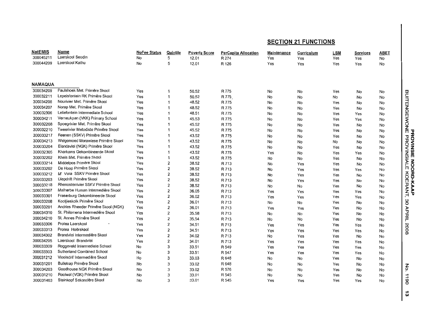| <b>NatEMIS</b> | Name                                | NoFee Status | <u>Quintile</u>         | <b>Poverty Score</b> | <b>PerCapita Allocation</b> | Maintenance | Curriculum | LSM | Services | ABET |                            |
|----------------|-------------------------------------|--------------|-------------------------|----------------------|-----------------------------|-------------|------------|-----|----------|------|----------------------------|
| 300045211      | Laerskool Seodin                    | No           | 5                       | 12.01                | R 274                       | Yes         | Yes        | Yes | Yes      | No   |                            |
| 300044209      | Laerskool Kathu                     | No           | 5                       | 12.01                | R 126                       | Yes         | Yes        | Yes | Yes      | No   |                            |
|                |                                     |              |                         |                      |                             |             |            |     |          |      |                            |
|                |                                     |              |                         |                      |                             |             |            |     |          |      |                            |
| <b>NAMAQUA</b> |                                     |              |                         |                      |                             |             |            |     |          |      |                            |
| 300034209      | Paulshoek Met. Primêre Skool        | Yes          | 1                       | 50.52                | R 775                       | No          | No         | Yes | No       | No   |                            |
| 300032211      | Lepelsfontein RK Primêre Skool      | Yes          |                         | 50.52                | R 775                       | No          | No         | No  | No       | No   | <b>BUITENGEWONE</b>        |
| 300034208      | Nourivier Met. Primêre Skool        | Yes          |                         | 48.52                | R 775                       | No          | No         | Yes | No       | No   |                            |
| 300034207      | Norap Met, Primêre Skool            | Yes          |                         | 48.52                | R 775                       | No          | No         | Yes | No       | No   |                            |
| 300032306      | Leliefontein Intermediate School    | Yes          |                         | 48.51                | R 775                       | No          | No         | Yes | Yes      | No   |                            |
| 300034211      | Verneukpan (VKK) Primary School     | Yes          |                         | 45.53                | R 775                       | No          | No         | Yes | Yes      | No   |                            |
| 300032208      | Spoegrivier Met. Primêre Skool      | Yes          |                         | 45.52                | R 775                       | No          | No         | Yes | No       | No   |                            |
| 300032210      | Tweerivier Metodiste Primêre Skool  | Yes          |                         | 45.52                | R 775                       | No          | No         | Yes | No       | No   | τ                          |
| 300033217      | Reenen (SSKV) Primêre Skool         | Yes          |                         | 43.52                | R 775                       | No          | No         | Yes | No       | No   |                            |
| 300034213      | Welgemoed Morawiese Primêre Skool   | Yes          |                         | 43.52                | R 775                       | No          | No         | No  | No       | No   |                            |
| 300033204      | Elandsvlei (NGK) Primêre Skool      | Yes          |                         | 43.52                | R 775                       | No          | No         | Yes | No       | No   |                            |
| 300032305      | Kharkams Gekombineerde Skool        | Yes          |                         | 43.52                | R 775                       | Yes         | No         | Yes | Yes      | No   | <b>ROVINSIE</b><br>PROVINS |
| 300032202      | Kheis Met. Primêre Skool            | Yes          | 1                       | 43.52                | R 775                       | No          | No         | Yes | No       | No   |                            |
| 300033214      | Middelpos Primêre Skool             | Yes          | 2                       | 38.52                | R 713                       | No          | Yes        | Yes | No       | No   | Ā<br>$\delta$              |
| 300033202      | De Hoop Primêre Skool               | Yes          | 2                       | 38.52                | R 713                       | No          | Yes        | Yes | Yes      | No   | m<br>Ō                     |
| 300033212      | M' Vera SSKV Primêre Skool          | Yes          | 2                       | 38.52                | R 713                       | No          | Yes        | Yes | No       | No   | 증                          |
| 300033203      | Diepdrift Primêre Skool             | Yes          | 2                       | 38.52                | R 713                       | No          | Yes        | Yes | No       | No   | 평                          |
| 300033218      | Rhenosterrivier SSKV Primêre Skool  | Yes          | $\overline{c}$          | 38.52                | R 713                       | No          | No         | Yes | No       |      | ERANT,                     |
| 300033307      | Malherbe Human Intermediêre Skool   | Yes          | $\overline{\mathbf{c}}$ | 36.05                | R 713                       | Yes         | Yes        | Yes | Yes      | No   | КААР                       |
| 300033301      | Fraserburg Gekombineerde Skool      | Yes          | $\overline{\mathbf{2}}$ | 36.02                | R 713                       | Yes         | Yes        | Yes | Yes      | No   |                            |
| 300033208      | Kootjieskolk Primêre Skool          | Yes          | $\overline{\mathbf{2}}$ | 36.01                | R 713                       | No          | No         | Yes | No       | No   | 30                         |
| 300033201      | Andries Rheeder Primêre Skool (NGK) | Yes          | $\overline{2}$          | 36.01                | R 713                       | Yes         |            | Yes |          | No   |                            |
| 300034310      | St. Philomena Intermediêre Skool    | Yes          | 2                       | 35.58                | R 713                       | No          | Yes        | Yes | No       | No   | APRIL                      |
| 300034210      | St. Annes Primêre Skool             | Yes          | $\overline{2}$          | 35.54                | R 713                       |             | No         |     | No       | No   |                            |
| 300033306      | Protea Laerskool                    | Yes          | 2                       | 34.51                |                             | No          | No         | Yes | No       | No   |                            |
| 300033313      | Protea Hoërskool                    | Yes          | $\overline{\mathbf{c}}$ | 34.51                | R 713<br>R 713              | Yes         | Yes        | Yes | Yes      | No   | 8002                       |
| 300034302      | Brandvlei Intermediêre Skool        | Yes          | $\overline{2}$          |                      |                             | Yes         | Yes        | Yes | Yes      | No   |                            |
| 300034205      | Laerskool Brandviei                 |              |                         | 34.02                | R 713                       | No          | Yes        | Yes | No       | No   |                            |
| 300033309      | Roggeveld Intermediate School       | Yes          | 2                       | 34.01                | R 713                       | Yes         | Yes        | Yes | Yes      | No   |                            |
| 300033303      | Sutherland Combined School          | No           | 3                       | 33.51                | R 549                       | Yes         | Yes        | Yes | Yes      | No   |                            |
|                | Vioolsdrif Intermediêre Skool       | No           | 3                       | 33.51                | R 547                       | Yes         | Yes        | Yes | Yes      | No   |                            |
| 300031212      |                                     | No           | 3                       | 33,03                | R 648                       | No          | No         | Yes | No       | No   |                            |
| 300031201      | <b>Bulletrap Primêre Skool</b>      | No           | 3                       | 33.02                | R 648                       | No          | No         | Yes | No       | No   | š                          |
| 300034203      | Goodhouse NGK Primêre Skool         | No           | 3                       | 33.02                | R 576                       | No          | No         | Yes | No       | No   |                            |
| 300031210      | Rooiwal (VGK) Primêre Skool         | No           | 3                       | 33.01                | R 545                       | No          | No         | Yes | No       | No   | $\overrightarrow{=}$       |
| 300031403      | Steinkopf Sekondêre Skool           | No           | 3                       | 33.01                | R 545                       | Yes         | Yes        | Yes | Yes      | No   | 8                          |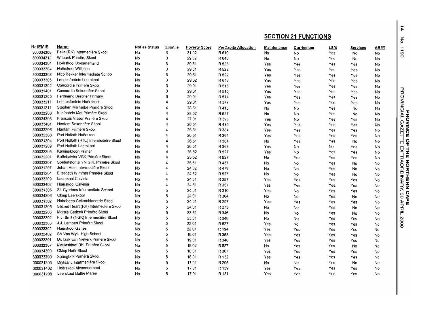| <b>NatEMIS</b> | Name                                   | <b>NoFee Status</b> | Quintile | <b>Poverty Score</b> | PerCapita Allocation | Maintenance | <b>Curriculum</b> | <b>LSM</b> | Services  | <b>ABET</b><br>$\overrightarrow{a}$         |
|----------------|----------------------------------------|---------------------|----------|----------------------|----------------------|-------------|-------------------|------------|-----------|---------------------------------------------|
| 300034308      | Pella (RK) Intermediêre Skool          | No                  | 3        | 31.02                | R 610                | No          | No                | Yes        | <b>No</b> | $\overline{6}$<br>No                        |
| 300034212      | Witbank Primêre Skool                  | No                  | 3        | 29.52                | R 648                | No          | No                | Yes        | No        | No                                          |
| 300034304      | Hoërskool Boesmanland                  | No                  | 3        | 29.51                | R 523                | Yes         | Yes               | Yes        | Yes       | No                                          |
| 300033304      | Hoërskool Williston                    | No                  | 3        | 29.51                | R 522                | Yes         | Yes               | Yes        | Yes       | No                                          |
| 300033308      | Nico Bekker Intermediate School        | No                  | 3        | 29.51                | R 522                | Yes         | Yes               | Yes        | Yes       | No                                          |
| 300033305      | Loeriesfontein Laerskool               | No                  | 3        | 29.02                | R 648                | Yes         | Yes               | Yes        | Yes       | No                                          |
| 300031202      | Concordia Primêre Skool                | No                  | 3        | 29.01                | R 515                | Yes         | Yes               | Yes        | Yes       | No <sup>-</sup>                             |
| 300031401      | Concordia Sekondêre Skool              | No                  | 3        | 29.01                | R 515                | Yes         | Yes               | Yes        | Yes       | τ<br>No                                     |
| 300031205      | Ferdinand Brecher Primary              | No                  | 3        | 29.01                | R 514                | Yes         | Yes               | Yes        | Yes       | <b>ROVINCIAL</b><br>No                      |
| 300033211      | Loeriesfontein Hoërskool               | No                  | 4        | 29.01                | R 377                | Yes         | Yes               | Yes        | Yes       | No                                          |
| 300031211      | Stephen Malherbe Primêre Skool         | No                  |          | 28.51                | R 415                | No          | No                | Yes        | No        | No                                          |
| 300032203      | Klipfontein Met Primêre Skool          | No                  | 4        | 28.02                | R 527                | No          | No                | Yes        | No        | No                                          |
| 300034303      | Francois Visser Primêre Skool          | No                  |          | 27.01                | R 395                | Yes         | No                | Yes        | Yes       | ŏ<br>No                                     |
| 300033401      | Hantam Sekondêre Skool                 | No                  | 4        | 26.51                | R 435                | Yes         | Yes               | Yes        | Yes       | ω<br>No                                     |
| 300033206      | Hantam Primêre Skool                   | No                  |          | 26.51                | R 384                | Yes         | Yes               | Yes        | Yes       | AZE<br><b>INCE</b><br>No                    |
| 300032308      | Port Nolloth Hoërskool                 | No                  |          | 26.51                | R 364                | Yes         | Yes               | Yes        | Yes       | No                                          |
| 300031304      | Port Nolloth (R.K.) Intermediêre Skool | No                  | 4        | 26.51                | R 364                | No          | Yes               | Yes        | No        | Н<br>Ц<br>$\frac{8}{1}$<br>No               |
| 300031209      | Port Nolloth Laerskool                 | No                  |          | 26.51                | R 363                | Yes         | No                | No         | Yes       | No                                          |
| 300032205      | Kamieskroon Primêr                     | No                  |          | 25.52                | R 527                | Yes         | No                | Yes        | Yes       | No                                          |
| 300032201      | Buffelsrivier VGK Primêre Skool        | No                  |          | 25.52                | R 527                | No          | Yes               | Yes        | Yes       | No                                          |
| 300032207      | Soebatsfontein N.G.K. Primêre Skool    | No                  |          | 25.51                | R 437                | No          | No                | Yes        | No        | No                                          |
| 300031207      | Johan Hein Intermediêre Skool          | No                  |          | 24.52                | R 479                | No          | No                | Yes        | No        | No                                          |
| 300031204      | Elizabeth Wimmer Primêre Skool         | No                  |          | 24.52                | R 527                | No          | No                | Yes        | No        | <b>THE NORTHERN</b><br>EXTRAORDINARY,<br>No |
| 300033209      | Laerskool Calvinia                     | No                  |          | 24.51                | R 357                | Yes         | Yes               | Yes        | Yes       | No                                          |
| 300033402      | Hoërskool Calvinia                     | No                  | 4        | 24.51                | R 357                | Yes         | Yes               | Yes        | Yes       | No                                          |
| 300031306      | St. Cyprians Intermediate School       | No                  | 5        | 24.01                | R 310                | Yes         | No                | Yes        | Yes       | No                                          |
| 300034306      | Okiep Laerskool                        | No                  | 5        | 24.01                | R 304                | No          | No                | Yes        | No        | ်<br>၂<br>၁၉<br>၁၀<br>No                    |
| 300031302      | Nababeep Gekombineerde Skool           | No                  | 5        | 24.01                | R 297                | Yes         | Yes               | Yes        | Yes       | <b>APE</b><br>$\mathbf{v}_\mathrm{F}$<br>No |
| 300031305      | Sacred Heart (RK) Intermediêre Skool   | No                  | 5        | 24.01                | R 273                | No          | No                | Yes        | No        | No                                          |
| 300032206      | Marais Gedenk Primêre Skool            | No                  | 5        | 23.51                | R 346                | No          | No                | Yes        | No        | 후<br>No                                     |
| 300032302      | F.J. Smit (NGK) Intermediêre Skool     | No                  | 5        | 23.01                | R 348                | No          | No                | Yes        | Yes       | No                                          |
| 300032303      | J.J. Lambert Primêre Skool             | No                  | 5        | 22.01                | R 527                | Yes         | No                | Yes        | Yes       | 2008<br>No                                  |
| 300033302      | Hoërskool Garies                       | No                  | 5        | 22.01                | R 194                | Yes         | Yes               | Yes        | Yes       | No                                          |
| 300032402      | SA Van Wyk High School                 | No                  | 5        | 19.01                | R 353                | Yes         | Yes               | Yes        | Yes       | No                                          |
| 300032301      | Dr. Izak van Niekerk Primêre Skool     | No                  | 5        | 19.01                | R 340                | Yes         | Yes               | Yes        | Yes       | No                                          |
| 300032307      | Matjieskloof RK Primêre Skool          | No                  | 5        | 18.02                | R 527                | No          | Yes               | Yes        | No        | No                                          |
| 300034309      | Okiep Hoër Skool                       | No                  | 5        | 18.01                | R 307                | Yes         | Yes               | Yes        | Yes       | No                                          |
| 300032209      | Springbok Primêre Skool                | No                  | 5        | 18.01                | R 132                | Yes         | Yes               | Yes        | Yes       | No                                          |
| 300031203      | Dryfsand Intermediêre Skool            | No                  | 5        | 17.01                | R 295                | No          | No                | Yes        | No        | No                                          |
| 300031402      | Hoërskool Alexanderbaai                | No                  | 5        | 17.01                | R 139                | Yes         | Yes               | Yes        | Yes       | No                                          |
| 300031208      | Laerskool Gaffie Maree                 | No                  | 5        | 17.01                | R 131                | Yes         | Yes               | Yes        | Yes       | No                                          |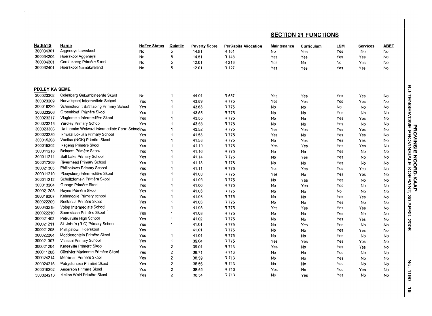| <b>NatEMIS</b>        | Name                                         | <b>NoFee Status</b> | Quintile       | <b>Poverty Score</b> | <b>PerCapita Allocation</b> | Maintenance    | Curriculum     | <b>LSM</b> | <b>Services</b> | <b>ABET</b>                            |
|-----------------------|----------------------------------------------|---------------------|----------------|----------------------|-----------------------------|----------------|----------------|------------|-----------------|----------------------------------------|
| 300034301             | Aggeneys Laerskool                           | No                  | 5              | 14.51                | R 151                       | No             | Yes            | Yes        | No              | <b>No</b>                              |
| 300034206             | Hoërskool Aggeneys                           | No                  | 5              | 14.51                | R 148                       | Yes            | <b>Yes</b>     | Yes        | Yes             | <b>No</b>                              |
| 300034201             | Carolusberg Primêre Skool                    | No                  | 5              | 12.01                | R 213                       | Yes            | <b>No</b>      | <b>No</b>  | Yes             | No                                     |
| 300032401             | Hoërskool Namakwaland                        | <b>No</b>           | 5              | 12.01                | R 127                       | Yes            | Yes            | Yes        | Yes             | <b>No</b>                              |
|                       |                                              |                     |                |                      |                             |                |                |            |                 |                                        |
|                       |                                              |                     |                |                      |                             |                |                |            |                 |                                        |
| <b>PIXLEY KA SEME</b> |                                              |                     |                |                      |                             |                |                |            |                 | <b>BUITENGEWONE</b><br>BUITENGEWONE    |
| 300023302             | Colesberg Gekombineerde Skool                | No                  | $\mathbf{1}$   | 44.01                | R 557                       | Yes            | Yes            | Yes        | Yes             | No                                     |
| 300023209             | Norvalspont Intermediate School              | Yes                 | $\mathbf{1}$   | 43.89                | R 775                       | Yes            | Yes            | Yes        | Yes             | No                                     |
| 300016220             | Schmidtsdrift Bathlaping Primary School      | Yes                 | $\overline{1}$ | 43.63                | R 775                       | No             | No             | No         | No              | No                                     |
| 300023206             | Groenkloof Primêre Skool                     | Yes                 | $\mathbf{1}$   | 43.55                | R 775                       | No             | N <sub>o</sub> | Yes        | No              | No                                     |
| 300023217             | Vlugfontein Intermediêre Skool               | Yes                 | $\overline{1}$ | 43.55                | R 775                       | No             | No             | Yes        | Yes             | No                                     |
| 300023218             | Yardley Primary School                       | <b>Yes</b>          | $\mathbf 1$    | 43.53                | R 775                       | No             | N <sub>o</sub> | Yes        | No              | No                                     |
| 300023306             | Umthombo Wolwazi Intermediate Farm SchoolYes |                     | $\overline{1}$ | 43.52                | R 775                       | Yes            | Yes            | Yes        | Yes             | No                                     |
| 300023280             | Ikhwezi Lokusa Primary School                | Yes                 | $\overline{1}$ | 41.53                | R 775                       | Yes            | No             | Yes        | Yes             | No                                     |
| 300015208             | Vaallus (NGK) Primêre Skool                  | Yes                 | $\mathbf{1}$   | 41.53                | R 775                       | No             | Yes            | Yes        | Yes             | No                                     |
| 300015202             | Ikageng Primêre Skool                        | Yes                 | $\mathbf{1}$   | 41.19                | R 775                       | Yes            | Yes            | Yes        | Yes             | No                                     |
| 300011216             | Belmont Primêre Skool                        | Yes                 | $\overline{1}$ | 41.16                | R 775                       | No             | No             | Yes        | No              | <b>ROVINSIE</b><br>PROVINSI<br>No      |
| 300011211             | Salt Lake Primary School                     | Yes                 | $\overline{1}$ | 41.14                | R 775                       | No             | Yes            | Yes        | No              | No                                     |
| 300017209             | Rivermead Primary School                     | Yes                 | $\overline{1}$ | 41.13                | R 775                       | No             | No             | Yes        | No              | <b>NOOD</b><br>No                      |
| 300021305             | Philipstown Primary School                   | Yes                 | $\mathbf{1}$   | 41.11                | R 775                       | Yes            | Yes            | Yes        | Yes             | No                                     |
| 300011210             | Plooysburg Intermediêre Skool                | Yes                 | $\overline{1}$ | 41.08                | R 775                       | Yes            | No             | Yes        | Yes             | 중호<br>No                               |
| 300011212             | Scholtzfontein Primêre Skool                 | Yes                 | $\mathbf{1}$   | 41.08                | R 775                       | No             | Yes            | Yes        | No              | <b>JERANT,</b><br>No                   |
| 300013204             | Grange Primêre Skool                         | Yes                 | $\overline{1}$ | 41.06                | R 775                       | No             | Yes            | Yes        | No              | No                                     |
| 300021203             | Hayes Primêre Skool                          | Yes                 | $\mathbf 1$    | 41.03                | R 775                       | No             | No             | No         | No              | No                                     |
| 300016207             | Kelemogile Primary school                    | Yes                 | $\overline{1}$ | 41.03                | R 775                       | No             | No             | Yes        | Yes             | 80<br>No                               |
| 300022209             | Redlands Primêre Skool                       | Yes                 | $\mathbf{1}$   | 41.03                | R 775                       | No             | No             | Yes        | No              | No                                     |
| 300043215             | Volop Intermediate School                    | Yes                 | $\mathbf{1}$   | 41.03                | R 775                       | Yes            | Yes            | Yes        | Yes             | No                                     |
| 300022210             | Saamstaan Primêre Skool                      | Yes                 |                | 41.03                | R 775                       | No             | No             | Yes        | No              | APRIL<br>No                            |
| 300021402             | Petrusville High School                      | Yes                 | 1              | 41.02                | R 775                       | No             | No             | Yes        | Yes             | No                                     |
| 300021211             | St. John's (R.C) Primary School              | Yes                 | $\overline{1}$ | 41.01                | R 775                       | No             | Yes            | Yes        | No              | 8002<br>No                             |
| 300021208             | Phillipstown Hoërskool                       | Yes                 | $\overline{1}$ | 41.01                | R 775                       | No             | No             | Yes        | Yes             | No                                     |
| 300022204             | Modderfontein Primêre Skool                  | Yes                 | $\mathbf{1}$   | 41.01                | R 775                       | No             | No             | Yes        | No              | No                                     |
| 300021307             | Visisani Primary School                      | Yes                 | $\overline{1}$ | 39.04                | R 775                       | Yes            | Yes            | Yes        | Yes             | No                                     |
| 300021204             | Kareeville Primêre Skool                     | Yes                 | $\mathbf{2}$   | 39.01                | R 713                       | Yes            | No             | Yes        | Yes             | No                                     |
| 300011208             | Olierivier Marianete Primêre Skool           | Yes                 | $\mathbf 2$    | 38.71                | R 713                       | No             | No             | Yes        | No              | No                                     |
| 300024214             | Merriman Primêre Skool                       | Yes                 | $\overline{c}$ | 38.59                | R 713                       | No             | No             | Yes        | No              | No                                     |
| 300024216             | Patrysfontein Primêre Skool                  | Yes                 | $\overline{2}$ | 38.56                | R 713                       | No             | No             | Yes        | No              | $\xi$<br>No                            |
| 300016202             | Anderson Primêre Skool                       | <b>Yes</b>          | $\mathbf{2}$   | 38.55                | R 713                       | Yes            | N <sub>o</sub> | Yes        | Yes             | No                                     |
| 300024213             | Melton Wold Primêre Skool                    | Yes.                | $\overline{2}$ | 38.54                | R 713                       | N <sub>o</sub> | Yes            | Yes        | No              | $\overrightarrow{=}$<br>No<br>$\omega$ |

 $\sim$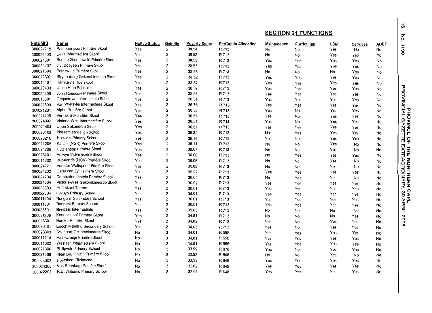|                |                                  |                     |                         |                      |                      |                    |            |            |          |      | ð.                      |
|----------------|----------------------------------|---------------------|-------------------------|----------------------|----------------------|--------------------|------------|------------|----------|------|-------------------------|
| <b>NatEMIS</b> | Name                             | <b>NoFee Status</b> | Quintile                | <b>Poverty Score</b> | PerCapita Allocation | <b>Maintenance</b> | Curriculum | <b>LSM</b> | Services | ABET | $\vec{=}$               |
| 300024215      | Pampoenpoort Primêre Skool       | Yes                 | 2                       | 38.54                | R 713                | No                 | No         | Yes        | No       | No   | 80                      |
| 300024203      | Delta Intermediêre Skool         | Yes                 | 2                       | 38.53                | R 713                | No                 | No         | Yes        | Yes      | No   |                         |
| 300024301      | Bennie Groenewald Primêre Skool  | Yes                 | 2                       | 38.53                | R 713                | Yes                | Yes        | Yes        | Yes      | No   |                         |
| 300024207      | J.J. Booysen Primêre Skool       | Yes                 | 2                       | 38.53                | R 713                | Yes                | Yes        | Yes        | Yes      | No   |                         |
| 300021304      | Petrusville Primêre Skool        | Yes                 | 2                       | 38.53                | R 713                | No                 | No         | No         | Yes      | No   |                         |
| 300022307      | Strydenburg Gekombineerde Skool  | Yes                 | 2                       | 38.52                | R 713                | Yes                | Yes        | Yes        | Yes      | No   |                         |
| 300016401      | Karrikama Hoërskool              | Yes                 | $\overline{2}$          | 38.52                | R 713                | Yes                | Yes        | Yes        | Yes      | No   |                         |
| 300023403      | Umso High School                 | Yes                 | 2                       | 38.52                | R 713                | Yes                | Yes        | Yes        | Yes      | No   | ᠊ᠣ                      |
| 300024209      | John Rossouw Primêre Skool       | Yes                 | 2                       | 38.51                | R 713                | Yes                | Yes        | Yes        | Yes      | No   |                         |
| 300016301      | Griguatown Intermediate School   | Yes                 | $\overline{\mathbf{c}}$ | 38.51                | R 713                | Yes                | Yes        | Yes        | Yes      | No   |                         |
| 300022309      | Van Wyksvlei Intermediêre Skool  | Yes                 | $\overline{2}$          | 36.76                | R 713                | Yes                | Yes        | Yes        | Yes      | No   |                         |
| 300021201      | Alpha Primêre Skool              | Yes                 | $\overline{2}$          | 36.52                | R 713                | Yes                | No         | Yes        | Yes      | No   | <b>ROVINGIAL</b><br>ֈֈֈ |
| 300021405      | Veritas Sekondêre Skool          | Yes                 | 2                       | 36.51                | R 713                | Yes                | No         | Yes        | Yes      | No   |                         |
| 300024307      | Victoria-Wes Intermediêre Skool  | Yes                 | 2                       | 36.51                | R 713                | Yes                | No         | Yes        | Yes      | No   | <b>GAZ</b>              |
| 300021404      | Orion Sekondêre Skool            | Yes                 | 2                       | 36.51                | R 713                | Yes                | Yes        | Yes        | Yes      | No   | <b>NINC</b>             |
| 300023402      | Phakamisani High School          | Yes                 | 2                       | 36.32                | R 713                | No                 | Yes        | Yes        | Yes      | No   | m<br>п                  |
| 300023210      | Hanover Primary School           | Yes                 | $\overline{c}$          | 36.15                | R 713                | Yes                | No         | Yes        | Yes      | No   | 윾<br>т                  |
| 300011205      | Katlani (NGK) Primêre Skool      | Yes                 | $\overline{2}$          | 36.11                | R 713                | No                 | No         | Yes        | No       | No   | т                       |
| 300024206      | Hutchinson Primêre Skool         | Yes                 | 2                       | 36.07                | R 713                | No                 | No         | Yes        | No       | No   | 냪                       |
| 300016201      | Aalwyn Intermediêre Skool        | Yes                 | 2                       | 36.06                | R 713                | No                 | Yes        | Yes        | Yes      | No   | ХTR                     |
| 300011202      | Bucklands (NGK) Primêre Skool    | Yes                 | 2                       | 36.05                | R 713                | No                 | No         | Yes        | No       | No   | <b>AORDINARY</b>        |
| 300024221      | Van der Waltspoort Primêre Skool | Yes                 | 2                       | 36.03                | R 713                | No                 | No         | Yes        | No       | No   |                         |
| 300024202      | Carel van Zyl Primêre Skool      | Yes                 | 2                       | 36.02                | R 713                | Yes                | Yes        | Yes        | Yes      | No   |                         |
| 300024204      | Dombietersfontein Primêre Skool  | Yes                 | $\overline{c}$          | 36.02                | R 713                | No                 | Yes        | Yes        | No       | No   |                         |
| 300024304      | Victoria-Wes Gekombineerde Skool | Yes                 | 2                       | 36.02                | R 713                | Yes                | Yes        | Yes        | Yes      | No   | <b>NORTHERN</b>         |
| 300022303      | Hoërskool Theron                 | Yes                 | 2                       | 36.01                | R 713                | Yes                | Yes        | Yes        | Yes      | No   | Ω                       |
| 300022304      | Luvuyo Primary School            | Yes                 | $\overline{2}$          | 36.01                | R 713                | Yes                | Yes        | Yes        | Yes      | No   | ဖွ                      |
| 300011404      | Bongani Secondary School         | Yes                 | 2                       | 36.01                | R 713                | Yes                | Yes        | Yes        | Yes      | No   | 오모트<br>₹                |
| 300011301      | Bongani Primary School           | Yes                 | $\overline{2}$          | 36.01                | R 713                | Yes                | Yes        | Yes        | Yes      | No   |                         |
| 300025301      | Breipaal Intermediate            | Yes                 | 2                       | 35.03                | R 713                | No                 | No         | No         | No       | No   | 흑                       |
| 300021205      | Keurtjiekloof Primêre Skool      | Yes                 | 2                       | 34.51                | R 713                | No                 | No         | No         | Yes      | No   |                         |
| 300023301      | Eureka Primêre Skool             | Yes                 | $\overline{\mathbf{2}}$ | 34.03                | R 713                | Yes                | No         | Yes        | Yes      | No   | 8002                    |
| 300023401      | Enoch Mthetho Secondary School   | Yes                 | $\overline{\mathbf{2}}$ | 34.03                | R 713                | Yes                | No         | Yes        | Yes      | No   |                         |
| 300023303      | Noupoort Gekombineerde Skool     | No                  | 3                       | 34.01                | R 558                | Yes                | Yes        | Yes        | Yes      | No   |                         |
| 300011214      | Vaal-Oranje Primêre Skool        | No                  | 3                       | 34.01                | R 558                | Yes                | Yes        | Yes        | Yes      | No   |                         |
| 300011302      | Weslaan Intermediêre Skool       | No                  | 3                       | 34.01                | R 556                | Yes                | Yes        | Yes        | Yes      | No   |                         |
| 300021306      | Philipvale Primary School        | No                  | 3                       | 33.59                | R 678                | Yes                | No         | Yes        | Yes      | No   |                         |
| 300021206      | Klein Brulfontein Primêre Skool  | No                  | 3                       | 33.55                | R 648                | No                 | No         | Yes        | No       | No   |                         |
| 300024303      | Hoërskool Richmond               | No                  | 3                       | 33.53                | R 648                | Yes                | Yes        | Yes        | Yes      | No   |                         |
| 300024306      | Van Rensburg Primêre Skool       | No                  | 3                       | 32.02                | R 648                | Yes                | Yes        | Yes        | Yes      | No   |                         |
| 300022208      | R.D. Williams Primary School     | No                  | 3                       | 32.01                | R 648                | Yes                | Yes        | Yes        | Yes      | No   |                         |

... ell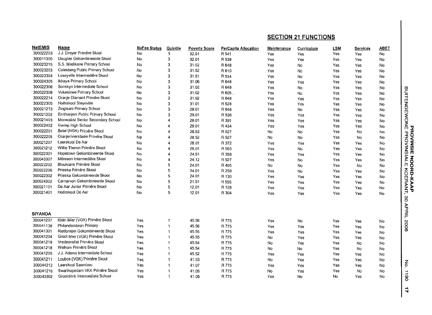| <b>NatEMIS</b> | Name                              | <b>NoFee Status</b> | Quintile | <b>Poverty Score</b> | <b>PerCapita Allocation</b> | Maintenance | Curriculum | <b>LSM</b> | Services | <b>ABET</b> |                                     |
|----------------|-----------------------------------|---------------------|----------|----------------------|-----------------------------|-------------|------------|------------|----------|-------------|-------------------------------------|
| 300022203      | J.J. Dreyer Primêre Skool         | No                  | 3        | 32.01                | R 541                       | Yes         | Yes        | Yes        | Yes      | No          |                                     |
| 300011305      | Douglas Gekombineerde Skool       | No                  | 3        | 32.01                | R 539                       | Yes         | Yes        | Yes        | Yes      | No          |                                     |
| 300023215      | S.S. Madikane Primary School      | No                  | 3        | 31.52                | R 648                       | Yes         | No         | Yes        | Yes      | No          |                                     |
| 300023203      | Colesberg Public Primary School   | No                  | 3        | 31.52                | R610                        | Yes         | No         | Yes        | Yes      | No          |                                     |
| 300023304      | Lowryville Intermediêre Skool     | No                  | 3        | 31.51                | R 534                       | Yes         | No         | Yes        | Yes      | No          |                                     |
| 300024305      | Ikhaya Primary School             | No                  | 3        | 31.06                | R 648                       | Yes         | Yes        | Yes        | Yes      | No          |                                     |
| 300022306      | Sonskyn Intermediate School       | No                  | 3        | 31.02                | R 648                       | Yes         | No         | Yes        | Yes      | No          |                                     |
| 300022308      | Vukasizwe Primary School          | No                  | 3        | 31.02                | R 605                       | Yes         | No         | Yes        | Yes      | No          | BUITENGEWONE<br>P                   |
| 300022214      | Oranje Diamant Primêre Skool      | No                  | 3        | 31.02                | R 648                       | Yes         | Yes        | Yes        | Yes      | No          |                                     |
| 300022305      | Hoërskool Steynville              | No                  | 3        | 31.01                | R 528                       | Yes         | Yes        | Yes        | Yes      | No          |                                     |
| 300021213      | Zingisani Primary School          | No                  | 3        | 29.01                | R 648                       | Yes         | No         | Yes        | Yes      | No          |                                     |
| 300021202      | Emthanjeni Public Primary School  | No                  | 3        | 29.01                | R 536                       | Yes         | Yes        | Yes        | Yes      | No          |                                     |
| 300021403      | Monwabisi Senior Secondary School | No                  | 4        | 29.01                | R 391                       | Yes         | Yes        | Yes        | Yes      | No          |                                     |
| 300022402      | Gariep High School                | No                  | 4        | 29.01                | R 434                       | Yes         | Yes        | Yes        | Yes      | No          |                                     |
| 300022201      | Betel (NGK) Primêre Skool         | No                  |          | 28.53                | R 527                       | No          | No         | Yes        | No       | No          |                                     |
| 300022205      | Oranjerivierstasie Primêre Skool  | No                  | 4        | 28.52                | R 527                       | No          | No         | Yes        | No       | No          | <b>ROVINSIE NOO<br/>PROVINSIALE</b> |
| 300021207      | Laerskool De Aar                  | No                  | 4        | 28.01                | R 372                       | Yes         | Yes        | Yes        | Yes      | No          |                                     |
| 300021212      | Willie Theron Primêre Skool       | No                  | 4        | 26.01                | R 555                       | Yes         | No         | Yes        | Yes      | No          |                                     |
| 300022301      | Hopetown Gekombineerde Skool      | No                  | 4        | 24.51                | R 358                       | Yes         | Yes        | Yes        | Yes      | No          |                                     |
| 300043307      | Môreson Intermediêre Skool        | No                  | 4        | 24.12                | R 527                       | Yes         | No         | Yes        | Yes      | No          |                                     |
| 300022202      | Bloukrans Primêre Skool           | No                  | 5        | 24.01                | R 405                       | No          | No         | Yes        | No       | No          |                                     |
| 300022206      | Prieska Primêre Skool             | No                  | 5        | 24.01                | R 259                       | Yes         | No         | Yes        | Yes      | No          |                                     |
| 300022302      | Prieska Gekombineerde Skool       | No                  | 5        | 24.01                | R 130                       | Yes         | Yes        | Yes        | Yes      | No          |                                     |
| 300024302      | Carnarvon Gekombineerde Skool     | No                  | 5        | 21.51                | R 555                       | Yes         | Yes        | Yes        | Yes      | No          |                                     |
| 300021101      | De Aar Junior Primêre Skool       | No                  | 5        | 12.01                | R 128                       | Yes         | Yes        | Yes        | Yes      | No          |                                     |
| 300021401      | Hoërskool De Aar                  | No                  | 5        | 12.01                | R 304                       | Yes         | Yes        | Yes        | Yes      | No          | <b>JRD-KAAP<br/>KOERANT,</b>        |
|                |                                   |                     |          |                      |                             |             |            |            |          |             | 80                                  |
|                |                                   |                     |          |                      |                             |             |            |            |          |             | ٩P                                  |
| <b>SIYANDA</b> |                                   |                     |          |                      |                             |             |            |            |          |             | 흑                                   |
| 300041207      | Klein Mier (VGK) Primêre Skool    | Yes                 | -1       | 45.56                | R 775                       | Yes         | No         | Yes        | Yes      | No          |                                     |
| 300041138      | Philandersbron Primary            | Yes                 |          | 45.56                | R 775                       | Yes         | Yes        | Yes        | Yes      | No          | 8002                                |
| 300041301      | Rietfontein Gekombineerde Skool   | Yes                 | -1       | 45.55                | R 775                       | Yes         | Yes        | Yes        | Yes      | No          |                                     |
| 300041204      | Groot Mier (VGK) Primêre Skool    | Yes                 |          | 45.55                | R 775                       | No          | Yes        | Yes        | Yes      | No          |                                     |
| 300041219      | Vredesvallei Primêre Skool        | Yes                 | -1       | 45.54                | R 775                       | No          | Yes        | Yes        | No       | No          |                                     |
| 300041218      | Welkom Primêre Skool              | Yes                 |          | 45.54                | R 775                       | No          | No         | Yes        | No       | No          |                                     |
| 300041205      | J.J. Adams Intermediate School    | Yes                 |          | 45.52                | R 775                       | Yes         | Yes        | Yes        | Yes      | No          |                                     |
| 300041211      | Loubos (VGK) Primêre Skool        | Yes                 |          | 41.53                | R 775                       | No          | Yes        | Yes        | Yes      | No          |                                     |
| 300044212      | Laerskool Saambou                 | Yes                 |          | 41.07                | R 775                       | Yes         | Yes        | Yes        | Yes      | No          | ξó                                  |
| 300041216      | Swartkopsdam VKK Primêre Skool    | Yes                 |          | 41.05                | R 775                       | No          | Yes        | Yes        | No       | No          | $\overline{\phantom{a}}$            |
| 300043302      | Grootdrink Intermediate School    | Yes                 |          | 41.05                | R 775                       | Yes         | No         | No         | Yes      | No          | ∸<br>6                              |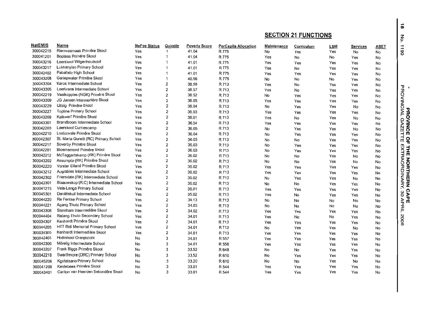|                |                                       |                     |                         |                      |                             |             | <b>SECTION 21 FUNCTIONS</b> |     |                 |             |  |  |  |
|----------------|---------------------------------------|---------------------|-------------------------|----------------------|-----------------------------|-------------|-----------------------------|-----|-----------------|-------------|--|--|--|
| <b>NatEMIS</b> | Name                                  | <b>NoFee Status</b> | Quintile                | <b>Poverty Score</b> | <b>PerCapita Allocation</b> | Maintenance | Curriculum                  | LSM | <b>Services</b> | <b>ABET</b> |  |  |  |
| 300042215      | Riemvasmaak Primêre Skool             | Yes                 | $\mathbf{1}$            | 41.04                | R 775                       | No          | Yes                         | Yes | No              | No          |  |  |  |
| 300041201      | Boplaas Primêre Skool                 | Yes                 | 1                       | 41.04                | R 775                       | Yes         | No                          | No  | Yes             | No          |  |  |  |
| 300043216      | Laerskool Wilgenhoutsdrif             | Yes                 | 1                       | 41.01                | R 775                       | Yes         | Yes                         | Yes | Yes             | No          |  |  |  |
| 300043217      | Lukhanyiso Primary School             | Yes                 | $\blacktriangleleft$    | 41.01                | R 775                       | Yes         | No                          | Yes | Yes             | No          |  |  |  |
| 300042402      | Paballelo High School                 | Yes                 | 1                       | 41.01                | R 775                       | Yes         | Yes                         | Yes | Yes             | No          |  |  |  |
| 300043208      | Gariepwater Primêre Skool             | Yes                 | $\mathbf 1$             | 40.56                | R 775                       | No          | No                          | No  | Yes             | No          |  |  |  |
| 300043304      | Karos Intermediate School             | Yes                 | 2                       | 38.58                | R 713                       | Yes         | No                          | Yes | Yes             | No          |  |  |  |
| 300043305      | Leerkrans Intermediate School         | Yes                 | 2                       | 38.57                | R 713                       | Yes         | No                          | Yes | Yes             | No          |  |  |  |
| 300042219      | Vaalkoppies (NGK) Primêre Skool       | Yes                 | 2                       | 38.52                | R 713                       | No          | Yes                         | Yes | Yes             | No          |  |  |  |
| 300043309      | JG Jansen Intermediêre Skool          | Yes                 | 2                       | 38.05                | R 713                       | Yes         | Yes                         | Yes | Yes             | No          |  |  |  |
| 300043229      | Uitsig Primêre Skool                  | Yes                 | 2                       | 38.04                | R 713                       | No          | Yes                         | Yes | No              | No          |  |  |  |
| 300043227      | <b>Topline Primary School</b>         | Yes                 | 2                       | 38.03                | R 713                       | Yes         | Yes                         | Yes | Yes             | No          |  |  |  |
| 300043209      | Kalkwerf Primêre Skool                | Yes                 | 2                       | 38.01                | R 713                       | Yes         | No                          | Yes | No              | No          |  |  |  |
| 300043301      | Brandboom Intermediate School         | Yes                 | 2                       | 36.54                | R 713                       | Yes         | Yes                         | Yes | Yes             | No          |  |  |  |
| 300042203      | Laerskool Curriescamp                 | Yes                 | 2                       | 36.05                | R 713                       | No          | Yes                         | Yes | No              | No          |  |  |  |
| 300042210      | Loxtonvale Primêre Skool              | Yes                 | 2                       | 36.04                | R 713                       | No          | Yes                         | Yes | Yes             | No          |  |  |  |
| 300042307      | St. Maria Goretti (RC) Primary School | Yes                 | 2                       | 36.03                | R 713                       | No          | No                          | Yes | Yes             | No          |  |  |  |
| 300042217      | Soverby Primêre Skool                 | Yes                 | 2                       | 36.03                | R 713                       | No          | Yes                         | Yes | Yes             | No          |  |  |  |
| 300042201      | Bloemsmond Primêre Skool              | Yes                 | 2                       | 36.03                | R 713                       | No          | Yes                         | Yes | Yes             | No          |  |  |  |
| 300042212      | McTaggartskamp (RK) Primêre Skool     | Yes                 | 2                       | 36.02                | R 713                       | No          | No                          | Yes | No              | No          |  |  |  |
| 300043202      | Assumpta (RK) Primêre Skool           | Yes                 | $\overline{2}$          | 36.02                | R 713                       | No          | No                          | Yes | No              | No          |  |  |  |
| 300042220      | Vorster Eiland Primêre Skool          | Yes                 | $\overline{c}$          | 36.02                | R 713                       | Yes         | Yes                         | Yes | Yes             | No          |  |  |  |
| 300043212      | Augrabies Intermediate School         | Yes                 | $\overline{\mathbf{c}}$ | 36.02                | R 713                       | Yes         | Yes                         | Yes | Yes             | No          |  |  |  |
| 300042302      | Friersdale (RK) Intermediate School   | Yes                 | $\overline{\mathbf{c}}$ | 36.02                | R 713                       | No          | Yes                         | Yes | No              | No          |  |  |  |
| 300042301      | Blaauwskop (R.C) Intermediate School  | Yes                 | 2                       | 36.02                | R 713                       | No          | No                          | Yes | Yes             | No          |  |  |  |
| 300041215      | Vela-Langa Primary School             | Yes                 | $\overline{2}$          | 36.01                | R 713                       | Yes         | Yes                         | Yes | Yes             | No          |  |  |  |
| 300045301      | Daniëlskuil Intermediate School       | Yes                 | $\overline{2}$          | 35.02                | R 713                       | Yes         | No                          | Yes | Yes             | No          |  |  |  |
| 300044220      | Re Fentse Primary School              | Yes                 | 2                       | 34.13                | R 713                       | No          | No                          | No  | No              | No          |  |  |  |
| 300044221      | Agang Thuto Primary School            | Yes                 | 2                       | 34.03                | R 713                       | No          | No                          | No  | No              | No          |  |  |  |
| 300043308      | Sternham Intermediëre Skool           | Yes                 | 2                       | 34.02                | R 713                       | Yes         | Yes                         | Yes | Yes             | No          |  |  |  |
| 300044404      | Ratang-Thuto Secondary School         | Yes                 | 2                       | 34.01                | R 713                       | Yes         | No                          | No  | Yes             | No          |  |  |  |
| 300034307      | Kenhardt Primêre Skool                | Yes                 | 2                       | 34.01                | R 713                       | Yes         | Yes                         | Yes | Yes             | No          |  |  |  |
| 300044205      | HTT Bidi Memorial Primary School      | Yes                 | 2                       | 34.01                | R 713                       | No          | Yes                         | Yes | No              | No          |  |  |  |
| 300034305      | Kenhardt Intermediêre Skool           | Yes                 | $\overline{2}$          | 34.01                | R 713                       | Yes         | Yes                         | Yes | Yes             | No          |  |  |  |
| 300042401      | Hoërskool Oranjezicht                 | No                  | 3                       | 34.01                | R 557                       | Yes         | Yes                         | Yes | Yes             | No          |  |  |  |
| 300042306      | Môrelig Intermediate School           | No                  | 3                       | 34.01                | R 556                       | Yes         | Yes                         | Yes | Yes             | No          |  |  |  |
| 300043207      | Frank Biggs Primêre Skool             | No                  | 3                       | 33.52                | R648                        | No          | No                          | Yes | Yes             | No          |  |  |  |
| 300042218      | Swarthmore (DRC) Primary School       | No                  | 3                       | 33.52                | R 610                       | No          | Yes                         | Yes | Yes             | No          |  |  |  |
| 300045206      | Kgotatsano Primary School             | No                  | 3                       | 33.20                | R 610                       | No          | No                          | Yes | No              | No          |  |  |  |
| 300041206      | Keidebees Primêre Skool               | No                  | 3                       | 33.01                | R 544                       | Yes         | Yes                         | Yes | Yes             | No          |  |  |  |
| 300043401      | Carlton van Heerden Sekondêre Skool   | No                  | з                       | 33.01                | R 544                       | Yes         | Yes                         | Yes | Yes             | No          |  |  |  |

 $\overline{\alpha}$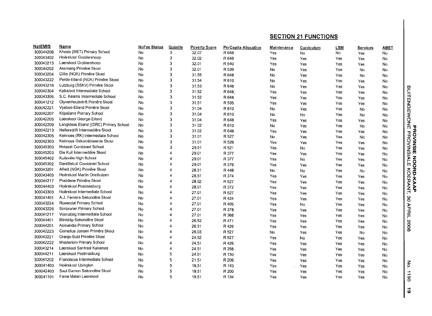| <b>NatEMIS</b> | Name                                   | <b>NoFee Status</b> | Quintile         | <b>Poverty Score</b> | <b>PerCapita Allocation</b> | Maintenance | Curriculum | <b>LSM</b> | <b>Services</b> | <b>ABET</b> |                                             |
|----------------|----------------------------------------|---------------------|------------------|----------------------|-----------------------------|-------------|------------|------------|-----------------|-------------|---------------------------------------------|
| 300044206      | Khosis (MET) Primary School            | No.                 | 3                | 32.07                | R 648                       | Yes         | No         | No         | Yes             | No          |                                             |
| 300043402      | Hoërskool Groblershoop                 | No                  | 3                | 32.02                | R 648                       | Yes         | Yes        | Yes        | Yes             | No          |                                             |
| 300043213      | Laerskool Groblershoop                 | No                  | 3                | 32.01                | R 540                       | Yes         | Yes        | Yes        | Yes             | No          |                                             |
| 300044202      | Assmang Primêre Skool                  | No                  | 3                | 32.01                | R 539                       | No          | Yes        | Yes        | No              | No          |                                             |
| 300043204      | Cillie (NGK) Primêre Skool             | No.                 | 3                | 31.55                | R 648                       | No          | Yes        | Yes        | No              | No          |                                             |
| 300043222      | Perde-Eiland (NGK) Primêre Skool       | No                  | 3                | 31.54                | R610                        | No          | Yes        | Yes        | Yes             | No          |                                             |
| 300043218      | Lutzburg (SSKV) Primêre Skool          | No                  | 3                | 31.53                | R 648                       | No          | <b>Yes</b> | Yes        | Yes             | No          |                                             |
| 300042304      | Kalksloot Intermediate School          | No                  | 3                | 31.52                | R 648                       | Yes         | Yes        | Yes        | Yes             | No          | <b>BUITENGEWONE</b>                         |
| 300043306      | S.C. Kearns Intermediate School        | No                  | 3                | 31.52                | R 648                       | Yes         | Yes        | Yes        | Yes             | No          |                                             |
| 300041212      | Olyvenhoutsdrift Primêre Skool         | No                  | 3                | 31.51                | R 535                       | Yes         | Yes        | Yes        | Yes             | No          |                                             |
| 300042221      | Vyebos-Eiland Primêre Skool            | No                  | 3                | 31.04                | R 610                       | No          | Yes        | Yes        | No              | No          |                                             |
| 300042207      | Klipeiland Primary School              | No                  | 3                | 31.04                | R610                        | No          | No         | Yes        | No              | No          |                                             |
| 300042205      | Laerskool George-Eiland                | No                  | 3                | 31.04                | R 648                       | Yes         | Yes        | Yes        | Yes             | <b>No</b>   |                                             |
| 300042209      | Langklaas Eiland ((DRC) Primary School | No                  | 3                | 31.02                | R 610                       | No          | Yes        | Yes        | No              | No          | τ                                           |
| 300042213      | Neilersdrift Intermediêre Skool        | No                  | 3                | 31.02                | R 648                       | Yes         | Yes        | Yes        | Yes             | No          |                                             |
| 300042305      | Keimoes (RK) Intermediate School       | No                  | 3                | 31.01                | R 527                       | No          | Yes        | Yes        | No              | No          | <b>FROVINSIE</b><br><b>FROVINSIE</b>        |
| 300042303      | Keimoes Gekombineerde Skool            | No                  | 3                | 31.01                | R 526                       | Yes         | Yes        | Yes        | Yes             | No          |                                             |
| 300045303      | <b>Hotazel Combined School</b>         | No                  | 3                | 29.51                | R 521                       | Yes         | No         | Yes        | Yes             | No          |                                             |
| 300045203      | Die Kuil Intermediêre Skool            | No                  | 4                | 29.01                | R 377                       | Yes         | Yes        | Yes        | Yes             | <b>No</b>   |                                             |
| 300045402      | Kuilsville High School                 | No                  | 4                | 29.01                | R 377                       | Yes         | No         | Yes        | Yes             | No          | 혼<br>$\overline{6}$                         |
| 300045302      | Daniëlskuil Combined School            | No                  | 4                | 29.01                | R 376                       | Yes         | Yes        | Yes        | Yes             | No          | m<br>Ŏ                                      |
| 300043201      | Alheit (NGK) Primêre Skool             | No                  | 4                | 28.51                | R 448                       | No          | No         | Yes        | No              | No          | $\delta$<br>Ĕ                               |
| 300043403      | Hoërskool Martin Oosthuizen            | No                  | 4                | 28.51                | R 374                       | Yes         | Yes        | Yes        | Yes             | <b>No</b>   | m                                           |
| 300044217      | Postdene Primêre Skool                 | No                  | 4                | 28.02                | R 527                       | Yes         | Yes        | Yes        | Yes             | No          | KAAP<br><b>RANT,</b>                        |
| 300044403      | Hoërskool Postmasburg                  | No                  | 4                | 28.01                | R 372                       | Yes         | Yes        | Yes        | Yes             | No          |                                             |
| 300043303      | Hoërskool Intermediate School          | No                  | 4                | 27.01                | R 527                       | Yes         | Yes        | Yes        | Yes             | No          |                                             |
| 300041401      | A.J. Ferreira Sekondêre Skool          | No                  | 4                | 27,01                | R 424                       | Yes         | Yes        | Yes        | Yes             | No          | 80                                          |
| 300043224      | Rosendal Primary School                | No                  | 4                | 27.01                | R 405                       | Yes         | No.        | Yes        | Yes             | No          |                                             |
| 300043226      | Simbruner Primary School               | No                  | 4                | 27.01                | R 378                       | Yes         | Yes        | Yes        | Yes             | No          | APRIL                                       |
| 300041217      | Vooruitsig Intermediate School         | No                  | 4                | 27.01                | R 368                       | Yes         | Yes        | Yes        | Yes             | No          |                                             |
| 300044401      | Blinkklip Sekondêre Skool              | No                  | Δ                | 26.52                | R 471                       | Yes         | Yes        | Yes        | Yes             | No          |                                             |
| 300044201      | Asmandia Primary School                | No                  | 4                | 26.51                | R 426                       | Yes         | Yes        | Yes        | Yes             | No.         | 8002                                        |
| 300042223      | Cornelius Jansen Primêre Skool         | No                  |                  | 26.03                | R 527                       | No          | Yes        | Yes        | <b>No</b>       | No          |                                             |
| 300043221      | Oranje-Suid Primêre Skool              | No                  | 4                | 24.52                | R 527                       | Yes         | No         | Yes        | Yes             | No          |                                             |
| 300042222      | Westerkim Primary School               | No                  | 4                | 24.51                | R 426                       | Yes         | Yes        | Yes        | Yes             | No          |                                             |
| 300043214      | Laerskool Sentraal Kakamas             | No                  | $\boldsymbol{A}$ | 24.51                | R 358                       | Yes         | Yes        | Yes        | Yes             | No          |                                             |
| 300044211      | Laerskool Postmasburg                  | No                  | 5                | 24.01                | R 130                       | Yes         | Yes        | Yes        | Yes             | No          |                                             |
| 300041202      | Franciscus Intermediate School         | No                  | 5                | 21.51                | R 206                       | Yes         | Yes        | Yes        | Yes             | No          |                                             |
| 300041403      | Hoërskool Upington                     | No                  | 5                | 19.51                | R 143                       | Yes         | Yes        | Yes        | Yes             | No          | $\mathop{\mathsf{S}}\limits_{{\mathsf{S}}}$ |
| 300042403      | Saul Damon Sekondêre Skool             | No                  | 5                | 19.51                | R 200                       | Yes         | Yes        | Yes        | Yes             | No          | $\overline{1}$                              |
| 300041101      | Fanie Malan Laerskool                  | No                  | 5                | 19.51                | R 134                       | Yes         | Yes        | Yes        | Yes             | No          | 8                                           |